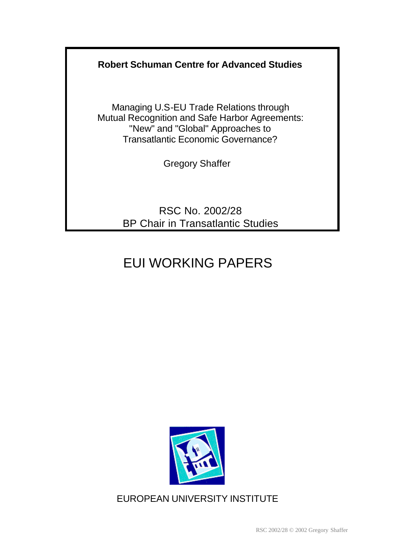## **Robert Schuman Centre for Advanced Studies**

Managing U.S-EU Trade Relations through Mutual Recognition and Safe Harbor Agreements: "New" and "Global" Approaches to Transatlantic Economic Governance?

Gregory Shaffer

RSC No. 2002/28 BP Chair in Transatlantic Studies

# EUI WORKING PAPERS



EUROPEAN UNIVERSITY INSTITUTE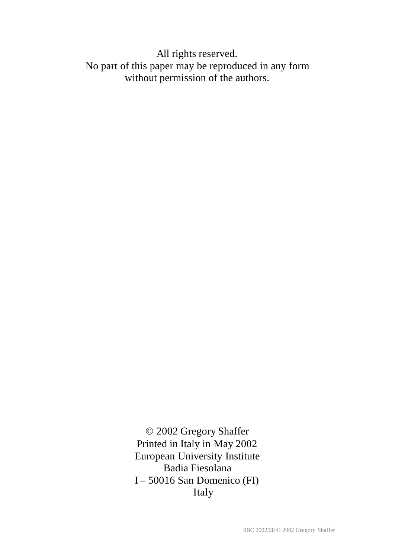All rights reserved. No part of this paper may be reproduced in any form without permission of the authors.

> © 2002 Gregory Shaffer Printed in Italy in May 2002 European University Institute Badia Fiesolana I – 50016 San Domenico (FI) Italy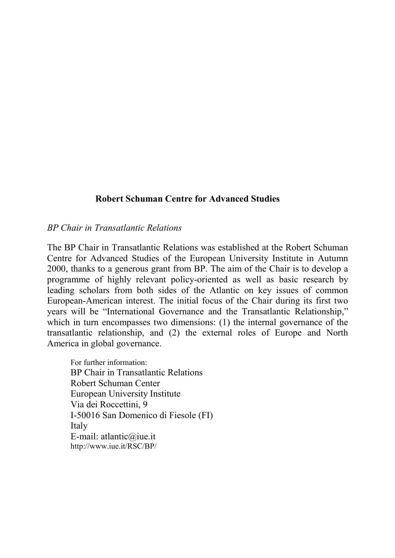#### **Robert Schuman Centre for Advanced Studies**

#### *BP Chair in Transatlantic Relations*

The BP Chair in Transatlantic Relations was established at the Robert Schuman Centre for Advanced Studies of the European University Institute in Autumn 2000, thanks to a generous grant from BP. The aim of the Chair is to develop a programme of highly relevant policy-oriented as well as basic research by leading scholars from both sides of the Atlantic on key issues of common European-American interest. The initial focus of the Chair during its first two years will be "International Governance and the Transatlantic Relationship," which in turn encompasses two dimensions: (1) the internal governance of the transatlantic relationship, and (2) the external roles of Europe and North America in global governance.

For further information: BP Chair in Transatlantic Relations Robert Schuman Center European University Institute Via dei Roccettini, 9 I-50016 San Domenico di Fiesole (FI) Italy E-mail: atlantic@iue.it http://www.iue.it/RSC/BP/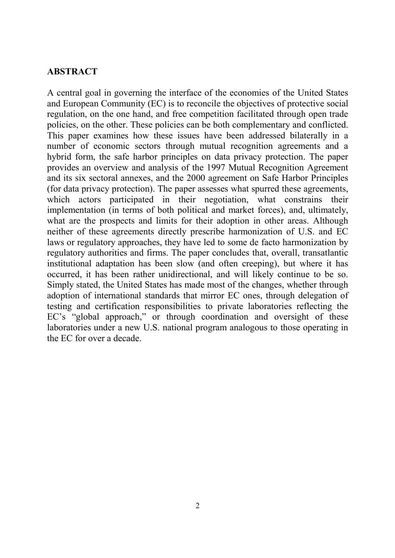#### **ABSTRACT**

A central goal in governing the interface of the economies of the United States and European Community (EC) is to reconcile the objectives of protective social regulation, on the one hand, and free competition facilitated through open trade policies, on the other. These policies can be both complementary and conflicted. This paper examines how these issues have been addressed bilaterally in a number of economic sectors through mutual recognition agreements and a hybrid form, the safe harbor principles on data privacy protection. The paper provides an overview and analysis of the 1997 Mutual Recognition Agreement and its six sectoral annexes, and the 2000 agreement on Safe Harbor Principles (for data privacy protection). The paper assesses what spurred these agreements, which actors participated in their negotiation, what constrains their implementation (in terms of both political and market forces), and, ultimately, what are the prospects and limits for their adoption in other areas. Although neither of these agreements directly prescribe harmonization of U.S. and EC laws or regulatory approaches, they have led to some de facto harmonization by regulatory authorities and firms. The paper concludes that, overall, transatlantic institutional adaptation has been slow (and often creeping), but where it has occurred, it has been rather unidirectional, and will likely continue to be so. Simply stated, the United States has made most of the changes, whether through adoption of international standards that mirror EC ones, through delegation of testing and certification responsibilities to private laboratories reflecting the EC's "global approach," or through coordination and oversight of these laboratories under a new U.S. national program analogous to those operating in the EC for over a decade.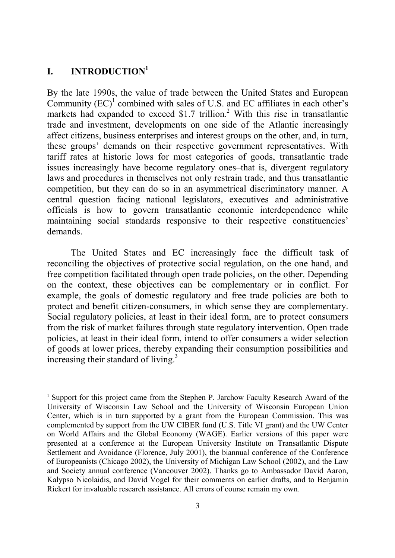## **I. INTRODUCTION1**

 $\overline{a}$ 

By the late 1990s, the value of trade between the United States and European Community  $(EC)^{1}$  combined with sales of U.S. and EC affiliates in each other's markets had expanded to exceed \$1.7 trillion.<sup>2</sup> With this rise in transatlantic trade and investment, developments on one side of the Atlantic increasingly affect citizens, business enterprises and interest groups on the other, and, in turn, these groups' demands on their respective government representatives. With tariff rates at historic lows for most categories of goods, transatlantic trade issues increasingly have become regulatory ones–that is, divergent regulatory laws and procedures in themselves not only restrain trade, and thus transatlantic competition, but they can do so in an asymmetrical discriminatory manner. A central question facing national legislators, executives and administrative officials is how to govern transatlantic economic interdependence while maintaining social standards responsive to their respective constituencies' demands.

The United States and EC increasingly face the difficult task of reconciling the objectives of protective social regulation, on the one hand, and free competition facilitated through open trade policies, on the other. Depending on the context, these objectives can be complementary or in conflict. For example, the goals of domestic regulatory and free trade policies are both to protect and benefit citizen-consumers, in which sense they are complementary. Social regulatory policies, at least in their ideal form, are to protect consumers from the risk of market failures through state regulatory intervention. Open trade policies, at least in their ideal form, intend to offer consumers a wider selection of goods at lower prices, thereby expanding their consumption possibilities and increasing their standard of living.<sup>3</sup>

<sup>&</sup>lt;sup>1</sup> Support for this project came from the Stephen P. Jarchow Faculty Research Award of the University of Wisconsin Law School and the University of Wisconsin European Union Center, which is in turn supported by a grant from the European Commission. This was complemented by support from the UW CIBER fund (U.S. Title VI grant) and the UW Center on World Affairs and the Global Economy (WAGE). Earlier versions of this paper were presented at a conference at the European University Institute on Transatlantic Dispute Settlement and Avoidance (Florence, July 2001), the biannual conference of the Conference of Europeanists (Chicago 2002), the University of Michigan Law School (2002), and the Law and Society annual conference (Vancouver 2002). Thanks go to Ambassador David Aaron, Kalypso Nicolaidis, and David Vogel for their comments on earlier drafts, and to Benjamin Rickert for invaluable research assistance. All errors of course remain my own.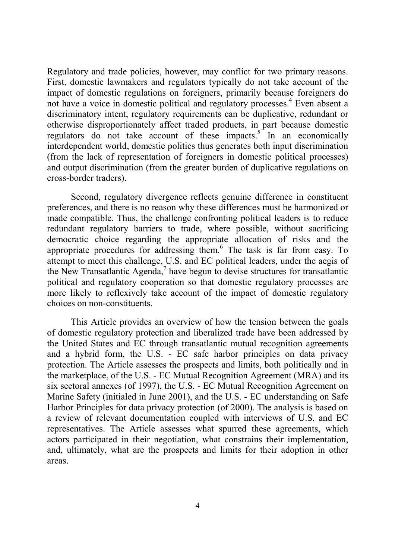Regulatory and trade policies, however, may conflict for two primary reasons. First, domestic lawmakers and regulators typically do not take account of the impact of domestic regulations on foreigners, primarily because foreigners do not have a voice in domestic political and regulatory processes.<sup>4</sup> Even absent a discriminatory intent, regulatory requirements can be duplicative, redundant or otherwise disproportionately affect traded products, in part because domestic regulators do not take account of these impacts. $5$  In an economically interdependent world, domestic politics thus generates both input discrimination (from the lack of representation of foreigners in domestic political processes) and output discrimination (from the greater burden of duplicative regulations on cross-border traders).

Second, regulatory divergence reflects genuine difference in constituent preferences, and there is no reason why these differences must be harmonized or made compatible. Thus, the challenge confronting political leaders is to reduce redundant regulatory barriers to trade, where possible, without sacrificing democratic choice regarding the appropriate allocation of risks and the appropriate procedures for addressing them.<sup>6</sup> The task is far from easy. To attempt to meet this challenge, U.S. and EC political leaders, under the aegis of the New Transatlantic Agenda, $<sup>7</sup>$  have begun to devise structures for transatlantic</sup> political and regulatory cooperation so that domestic regulatory processes are more likely to reflexively take account of the impact of domestic regulatory choices on non-constituents.

This Article provides an overview of how the tension between the goals of domestic regulatory protection and liberalized trade have been addressed by the United States and EC through transatlantic mutual recognition agreements and a hybrid form, the U.S. - EC safe harbor principles on data privacy protection. The Article assesses the prospects and limits, both politically and in the marketplace, of the U.S. - EC Mutual Recognition Agreement (MRA) and its six sectoral annexes (of 1997), the U.S. - EC Mutual Recognition Agreement on Marine Safety (initialed in June 2001), and the U.S. - EC understanding on Safe Harbor Principles for data privacy protection (of 2000). The analysis is based on a review of relevant documentation coupled with interviews of U.S. and EC representatives. The Article assesses what spurred these agreements, which actors participated in their negotiation, what constrains their implementation, and, ultimately, what are the prospects and limits for their adoption in other areas.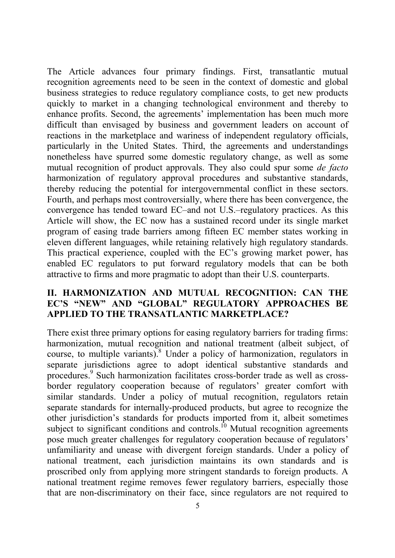The Article advances four primary findings. First, transatlantic mutual recognition agreements need to be seen in the context of domestic and global business strategies to reduce regulatory compliance costs, to get new products quickly to market in a changing technological environment and thereby to enhance profits. Second, the agreements' implementation has been much more difficult than envisaged by business and government leaders on account of reactions in the marketplace and wariness of independent regulatory officials, particularly in the United States. Third, the agreements and understandings nonetheless have spurred some domestic regulatory change, as well as some mutual recognition of product approvals. They also could spur some *de facto* harmonization of regulatory approval procedures and substantive standards, thereby reducing the potential for intergovernmental conflict in these sectors. Fourth, and perhaps most controversially, where there has been convergence, the convergence has tended toward EC–and not U.S.–regulatory practices. As this Article will show, the EC now has a sustained record under its single market program of easing trade barriers among fifteen EC member states working in eleven different languages, while retaining relatively high regulatory standards. This practical experience, coupled with the EC's growing market power, has enabled EC regulators to put forward regulatory models that can be both attractive to firms and more pragmatic to adopt than their U.S. counterparts.

#### **II. HARMONIZATION AND MUTUAL RECOGNITION: CAN THE EC'S "NEW" AND "GLOBAL" REGULATORY APPROACHES BE APPLIED TO THE TRANSATLANTIC MARKETPLACE?**

There exist three primary options for easing regulatory barriers for trading firms: harmonization, mutual recognition and national treatment (albeit subject, of course, to multiple variants).<sup>8</sup> Under a policy of harmonization, regulators in separate jurisdictions agree to adopt identical substantive standards and procedures.<sup>9</sup> Such harmonization facilitates cross-border trade as well as crossborder regulatory cooperation because of regulators' greater comfort with similar standards. Under a policy of mutual recognition, regulators retain separate standards for internally-produced products, but agree to recognize the other jurisdiction's standards for products imported from it, albeit sometimes subject to significant conditions and controls.<sup>10</sup> Mutual recognition agreements pose much greater challenges for regulatory cooperation because of regulators' unfamiliarity and unease with divergent foreign standards. Under a policy of national treatment, each jurisdiction maintains its own standards and is proscribed only from applying more stringent standards to foreign products. A national treatment regime removes fewer regulatory barriers, especially those that are non-discriminatory on their face, since regulators are not required to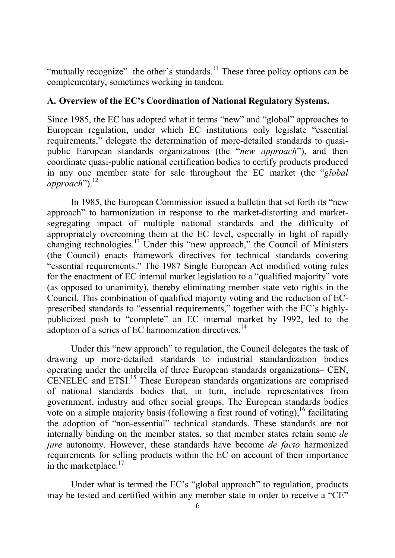"mutually recognize" the other's standards.<sup>11</sup> These three policy options can be complementary, sometimes working in tandem.

## **A. Overview of the EC's Coordination of National Regulatory Systems.**

Since 1985, the EC has adopted what it terms "new" and "global" approaches to European regulation, under which EC institutions only legislate "essential requirements," delegate the determination of more-detailed standards to quasipublic European standards organizations (the "*new approach*"), and then coordinate quasi-public national certification bodies to certify products produced in any one member state for sale throughout the EC market (the "*global approach*").<sup>12</sup>

In 1985, the European Commission issued a bulletin that set forth its "new approach" to harmonization in response to the market-distorting and marketsegregating impact of multiple national standards and the difficulty of appropriately overcoming them at the EC level, especially in light of rapidly changing technologies.13 Under this "new approach," the Council of Ministers (the Council) enacts framework directives for technical standards covering "essential requirements." The 1987 Single European Act modified voting rules for the enactment of EC internal market legislation to a "qualified majority" vote (as opposed to unanimity), thereby eliminating member state veto rights in the Council. This combination of qualified majority voting and the reduction of ECprescribed standards to "essential requirements," together with the EC's highlypublicized push to "complete" an EC internal market by 1992, led to the adoption of a series of EC harmonization directives.<sup>14</sup>

Under this "new approach" to regulation, the Council delegates the task of drawing up more-detailed standards to industrial standardization bodies operating under the umbrella of three European standards organizations– CEN, CENELEC and ETSI.<sup>15</sup> These European standards organizations are comprised of national standards bodies that, in turn, include representatives from government, industry and other social groups. The European standards bodies vote on a simple majority basis (following a first round of voting),  $16$  facilitating the adoption of "non-essential" technical standards. These standards are not internally binding on the member states, so that member states retain some *de jure* autonomy. However, these standards have become *de facto* harmonized requirements for selling products within the EC on account of their importance in the marketplace. $17$ 

Under what is termed the EC's "global approach" to regulation, products may be tested and certified within any member state in order to receive a "CE"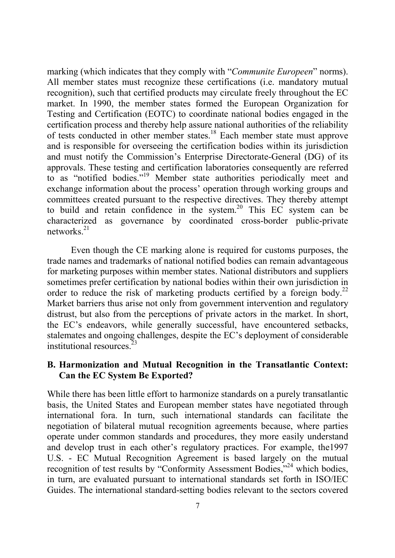marking (which indicates that they comply with "*Communite Europeen*" norms). All member states must recognize these certifications (i.e. mandatory mutual recognition), such that certified products may circulate freely throughout the EC market. In 1990, the member states formed the European Organization for Testing and Certification (EOTC) to coordinate national bodies engaged in the certification process and thereby help assure national authorities of the reliability of tests conducted in other member states.18 Each member state must approve and is responsible for overseeing the certification bodies within its jurisdiction and must notify the Commission's Enterprise Directorate-General (DG) of its approvals. These testing and certification laboratories consequently are referred to as "notified bodies."19 Member state authorities periodically meet and exchange information about the process' operation through working groups and committees created pursuant to the respective directives. They thereby attempt to build and retain confidence in the system.<sup>20</sup> This EC system can be characterized as governance by coordinated cross-border public-private networks<sup>21</sup>

Even though the CE marking alone is required for customs purposes, the trade names and trademarks of national notified bodies can remain advantageous for marketing purposes within member states. National distributors and suppliers sometimes prefer certification by national bodies within their own jurisdiction in order to reduce the risk of marketing products certified by a foreign body.<sup>22</sup> Market barriers thus arise not only from government intervention and regulatory distrust, but also from the perceptions of private actors in the market. In short, the EC's endeavors, while generally successful, have encountered setbacks, stalemates and ongoing challenges, despite the EC's deployment of considerable institutional resources.23

#### **B. Harmonization and Mutual Recognition in the Transatlantic Context: Can the EC System Be Exported?**

While there has been little effort to harmonize standards on a purely transatlantic basis, the United States and European member states have negotiated through international fora. In turn, such international standards can facilitate the negotiation of bilateral mutual recognition agreements because, where parties operate under common standards and procedures, they more easily understand and develop trust in each other's regulatory practices. For example, the1997 U.S. - EC Mutual Recognition Agreement is based largely on the mutual recognition of test results by "Conformity Assessment Bodies,"<sup>24</sup> which bodies, in turn, are evaluated pursuant to international standards set forth in ISO/IEC Guides. The international standard-setting bodies relevant to the sectors covered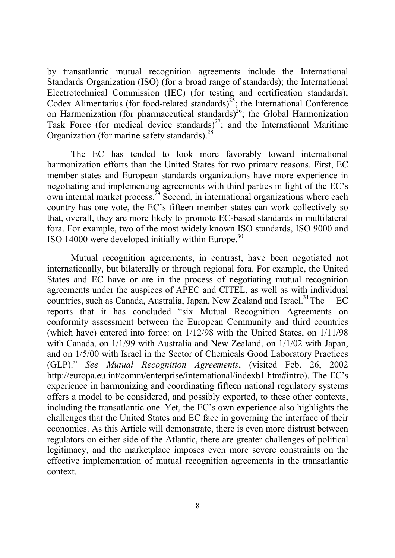by transatlantic mutual recognition agreements include the International Standards Organization (ISO) (for a broad range of standards); the International Electrotechnical Commission (IEC) (for testing and certification standards); Codex Alimentarius (for food-related standards)<sup> $25$ </sup>; the International Conference on Harmonization (for pharmaceutical standards)<sup>26</sup>; the Global Harmonization Task Force (for medical device standards)<sup>27</sup>; and the International Maritime Organization (for marine safety standards).<sup>28</sup>

The EC has tended to look more favorably toward international harmonization efforts than the United States for two primary reasons. First, EC member states and European standards organizations have more experience in negotiating and implementing agreements with third parties in light of the EC's own internal market process. $^{29}$  Second, in international organizations where each country has one vote, the EC's fifteen member states can work collectively so that, overall, they are more likely to promote EC-based standards in multilateral fora. For example, two of the most widely known ISO standards, ISO 9000 and ISO 14000 were developed initially within Europe.30

Mutual recognition agreements, in contrast, have been negotiated not internationally, but bilaterally or through regional fora. For example, the United States and EC have or are in the process of negotiating mutual recognition agreements under the auspices of APEC and CITEL, as well as with individual countries, such as Canada, Australia, Japan, New Zealand and Israel.<sup>31</sup>The  $EC$ reports that it has concluded "six Mutual Recognition Agreements on conformity assessment between the European Community and third countries (which have) entered into force: on 1/12/98 with the United States, on 1/11/98 with Canada, on 1/1/99 with Australia and New Zealand, on 1/1/02 with Japan, and on 1/5/00 with Israel in the Sector of Chemicals Good Laboratory Practices (GLP)." *See Mutual Recognition Agreements*, (visited Feb. 26, 2002 http://europa.eu.int/comm/enterprise/international/indexb1.htm#intro). The EC's experience in harmonizing and coordinating fifteen national regulatory systems offers a model to be considered, and possibly exported, to these other contexts, including the transatlantic one. Yet, the EC's own experience also highlights the challenges that the United States and EC face in governing the interface of their economies. As this Article will demonstrate, there is even more distrust between regulators on either side of the Atlantic, there are greater challenges of political legitimacy, and the marketplace imposes even more severe constraints on the effective implementation of mutual recognition agreements in the transatlantic context.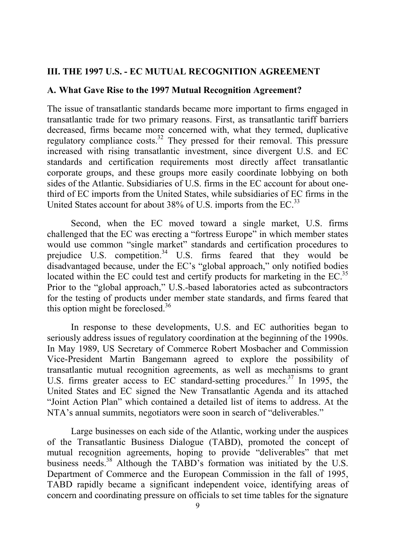#### **III. THE 1997 U.S. - EC MUTUAL RECOGNITION AGREEMENT**

#### **A. What Gave Rise to the 1997 Mutual Recognition Agreement?**

The issue of transatlantic standards became more important to firms engaged in transatlantic trade for two primary reasons. First, as transatlantic tariff barriers decreased, firms became more concerned with, what they termed, duplicative regulatory compliance costs.<sup>32</sup> They pressed for their removal. This pressure increased with rising transatlantic investment, since divergent U.S. and EC standards and certification requirements most directly affect transatlantic corporate groups, and these groups more easily coordinate lobbying on both sides of the Atlantic. Subsidiaries of U.S. firms in the EC account for about onethird of EC imports from the United States, while subsidiaries of EC firms in the United States account for about 38% of U.S. imports from the EC.<sup>33</sup>

Second, when the EC moved toward a single market, U.S. firms challenged that the EC was erecting a "fortress Europe" in which member states would use common "single market" standards and certification procedures to prejudice U.S. competition.<sup>34</sup> U.S. firms feared that they would be disadvantaged because, under the EC's "global approach," only notified bodies located within the EC could test and certify products for marketing in the  $EC$ <sup>35</sup> Prior to the "global approach," U.S.-based laboratories acted as subcontractors for the testing of products under member state standards, and firms feared that this option might be foreclosed. $36$ 

In response to these developments, U.S. and EC authorities began to seriously address issues of regulatory coordination at the beginning of the 1990s. In May 1989, US Secretary of Commerce Robert Mosbacher and Commission Vice-President Martin Bangemann agreed to explore the possibility of transatlantic mutual recognition agreements, as well as mechanisms to grant U.S. firms greater access to EC standard-setting procedures.<sup>37</sup> In 1995, the United States and EC signed the New Transatlantic Agenda and its attached "Joint Action Plan" which contained a detailed list of items to address. At the NTA's annual summits, negotiators were soon in search of "deliverables."

Large businesses on each side of the Atlantic, working under the auspices of the Transatlantic Business Dialogue (TABD), promoted the concept of mutual recognition agreements, hoping to provide "deliverables" that met business needs.38 Although the TABD's formation was initiated by the U.S. Department of Commerce and the European Commission in the fall of 1995, TABD rapidly became a significant independent voice, identifying areas of concern and coordinating pressure on officials to set time tables for the signature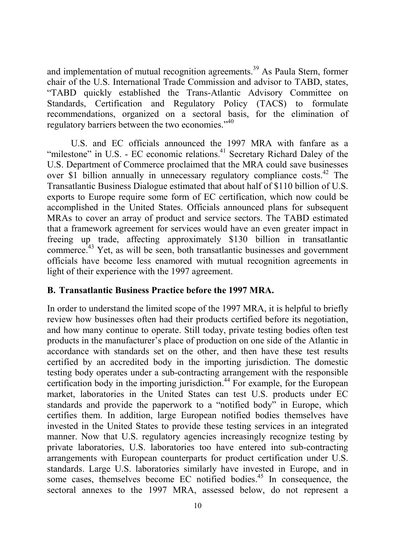and implementation of mutual recognition agreements.<sup>39</sup> As Paula Stern, former chair of the U.S. International Trade Commission and advisor to TABD, states, "TABD quickly established the Trans-Atlantic Advisory Committee on Standards, Certification and Regulatory Policy (TACS) to formulate recommendations, organized on a sectoral basis, for the elimination of regulatory barriers between the two economies."<sup>40</sup>

U.S. and EC officials announced the 1997 MRA with fanfare as a "milestone" in U.S. - EC economic relations.<sup>41</sup> Secretary Richard Daley of the U.S. Department of Commerce proclaimed that the MRA could save businesses over \$1 billion annually in unnecessary regulatory compliance costs.<sup>42</sup> The Transatlantic Business Dialogue estimated that about half of \$110 billion of U.S. exports to Europe require some form of EC certification, which now could be accomplished in the United States. Officials announced plans for subsequent MRAs to cover an array of product and service sectors. The TABD estimated that a framework agreement for services would have an even greater impact in freeing up trade, affecting approximately \$130 billion in transatlantic commerce.<sup>43</sup> Yet, as will be seen, both transatlantic businesses and government officials have become less enamored with mutual recognition agreements in light of their experience with the 1997 agreement.

#### **B. Transatlantic Business Practice before the 1997 MRA.**

In order to understand the limited scope of the 1997 MRA, it is helpful to briefly review how businesses often had their products certified before its negotiation, and how many continue to operate. Still today, private testing bodies often test products in the manufacturer's place of production on one side of the Atlantic in accordance with standards set on the other, and then have these test results certified by an accredited body in the importing jurisdiction. The domestic testing body operates under a sub-contracting arrangement with the responsible certification body in the importing jurisdiction.<sup>44</sup> For example, for the European market, laboratories in the United States can test U.S. products under EC standards and provide the paperwork to a "notified body" in Europe, which certifies them. In addition, large European notified bodies themselves have invested in the United States to provide these testing services in an integrated manner. Now that U.S. regulatory agencies increasingly recognize testing by private laboratories, U.S. laboratories too have entered into sub-contracting arrangements with European counterparts for product certification under U.S. standards. Large U.S. laboratories similarly have invested in Europe, and in some cases, themselves become EC notified bodies.<sup>45</sup> In consequence, the sectoral annexes to the 1997 MRA, assessed below, do not represent a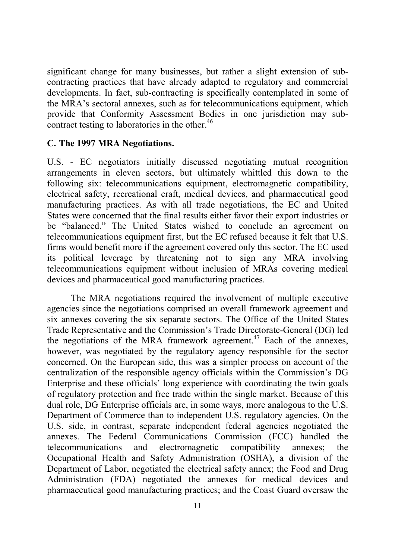significant change for many businesses, but rather a slight extension of subcontracting practices that have already adapted to regulatory and commercial developments. In fact, sub-contracting is specifically contemplated in some of the MRA's sectoral annexes, such as for telecommunications equipment, which provide that Conformity Assessment Bodies in one jurisdiction may subcontract testing to laboratories in the other.<sup>46</sup>

#### **C. The 1997 MRA Negotiations.**

U.S. - EC negotiators initially discussed negotiating mutual recognition arrangements in eleven sectors, but ultimately whittled this down to the following six: telecommunications equipment, electromagnetic compatibility, electrical safety, recreational craft, medical devices, and pharmaceutical good manufacturing practices. As with all trade negotiations, the EC and United States were concerned that the final results either favor their export industries or be "balanced." The United States wished to conclude an agreement on telecommunications equipment first, but the EC refused because it felt that U.S. firms would benefit more if the agreement covered only this sector. The EC used its political leverage by threatening not to sign any MRA involving telecommunications equipment without inclusion of MRAs covering medical devices and pharmaceutical good manufacturing practices.

The MRA negotiations required the involvement of multiple executive agencies since the negotiations comprised an overall framework agreement and six annexes covering the six separate sectors. The Office of the United States Trade Representative and the Commission's Trade Directorate-General (DG) led the negotiations of the MRA framework agreement.<sup>47</sup> Each of the annexes, however, was negotiated by the regulatory agency responsible for the sector concerned. On the European side, this was a simpler process on account of the centralization of the responsible agency officials within the Commission's DG Enterprise and these officials' long experience with coordinating the twin goals of regulatory protection and free trade within the single market. Because of this dual role, DG Enterprise officials are, in some ways, more analogous to the U.S. Department of Commerce than to independent U.S. regulatory agencies. On the U.S. side, in contrast, separate independent federal agencies negotiated the annexes. The Federal Communications Commission (FCC) handled the telecommunications and electromagnetic compatibility annexes; the Occupational Health and Safety Administration (OSHA), a division of the Department of Labor, negotiated the electrical safety annex; the Food and Drug Administration (FDA) negotiated the annexes for medical devices and pharmaceutical good manufacturing practices; and the Coast Guard oversaw the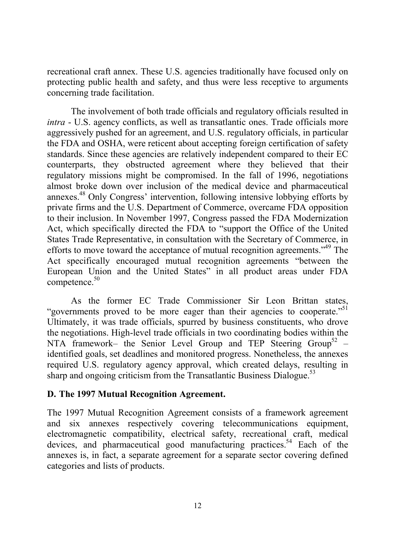recreational craft annex. These U.S. agencies traditionally have focused only on protecting public health and safety, and thus were less receptive to arguments concerning trade facilitation.

The involvement of both trade officials and regulatory officials resulted in *intra* - U.S. agency conflicts, as well as transatlantic ones. Trade officials more aggressively pushed for an agreement, and U.S. regulatory officials, in particular the FDA and OSHA, were reticent about accepting foreign certification of safety standards. Since these agencies are relatively independent compared to their EC counterparts, they obstructed agreement where they believed that their regulatory missions might be compromised. In the fall of 1996, negotiations almost broke down over inclusion of the medical device and pharmaceutical annexes.48 Only Congress' intervention, following intensive lobbying efforts by private firms and the U.S. Department of Commerce, overcame FDA opposition to their inclusion. In November 1997, Congress passed the FDA Modernization Act, which specifically directed the FDA to "support the Office of the United States Trade Representative, in consultation with the Secretary of Commerce, in efforts to move toward the acceptance of mutual recognition agreements.<sup>349</sup> The Act specifically encouraged mutual recognition agreements "between the European Union and the United States" in all product areas under FDA competence.<sup>50</sup>

As the former EC Trade Commissioner Sir Leon Brittan states, "governments proved to be more eager than their agencies to cooperate."<sup>51</sup> Ultimately, it was trade officials, spurred by business constituents, who drove the negotiations. High-level trade officials in two coordinating bodies within the NTA framework– the Senior Level Group and TEP Steering Group<sup>52</sup> – identified goals, set deadlines and monitored progress. Nonetheless, the annexes required U.S. regulatory agency approval, which created delays, resulting in sharp and ongoing criticism from the Transatlantic Business Dialogue.<sup>53</sup>

#### **D. The 1997 Mutual Recognition Agreement.**

The 1997 Mutual Recognition Agreement consists of a framework agreement and six annexes respectively covering telecommunications equipment, electromagnetic compatibility, electrical safety, recreational craft, medical devices, and pharmaceutical good manufacturing practices.<sup>54</sup> Each of the annexes is, in fact, a separate agreement for a separate sector covering defined categories and lists of products.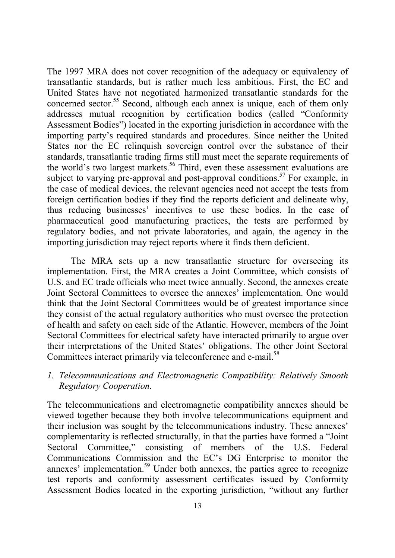The 1997 MRA does not cover recognition of the adequacy or equivalency of transatlantic standards, but is rather much less ambitious. First, the EC and United States have not negotiated harmonized transatlantic standards for the concerned sector.<sup>55</sup> Second, although each annex is unique, each of them only addresses mutual recognition by certification bodies (called "Conformity Assessment Bodies") located in the exporting jurisdiction in accordance with the importing party's required standards and procedures. Since neither the United States nor the EC relinquish sovereign control over the substance of their standards, transatlantic trading firms still must meet the separate requirements of the world's two largest markets.<sup>56</sup> Third, even these assessment evaluations are subject to varying pre-approval and post-approval conditions.<sup>57</sup> For example, in the case of medical devices, the relevant agencies need not accept the tests from foreign certification bodies if they find the reports deficient and delineate why, thus reducing businesses' incentives to use these bodies. In the case of pharmaceutical good manufacturing practices, the tests are performed by regulatory bodies, and not private laboratories, and again, the agency in the importing jurisdiction may reject reports where it finds them deficient.

The MRA sets up a new transatlantic structure for overseeing its implementation. First, the MRA creates a Joint Committee, which consists of U.S. and EC trade officials who meet twice annually. Second, the annexes create Joint Sectoral Committees to oversee the annexes' implementation. One would think that the Joint Sectoral Committees would be of greatest importance since they consist of the actual regulatory authorities who must oversee the protection of health and safety on each side of the Atlantic. However, members of the Joint Sectoral Committees for electrical safety have interacted primarily to argue over their interpretations of the United States' obligations. The other Joint Sectoral Committees interact primarily via teleconference and e-mail.<sup>58</sup>

*1. Telecommunications and Electromagnetic Compatibility: Relatively Smooth Regulatory Cooperation.*

The telecommunications and electromagnetic compatibility annexes should be viewed together because they both involve telecommunications equipment and their inclusion was sought by the telecommunications industry. These annexes' complementarity is reflected structurally, in that the parties have formed a "Joint Sectoral Committee," consisting of members of the U.S. Federal Communications Commission and the EC's DG Enterprise to monitor the annexes' implementation.<sup>59</sup> Under both annexes, the parties agree to recognize test reports and conformity assessment certificates issued by Conformity Assessment Bodies located in the exporting jurisdiction, "without any further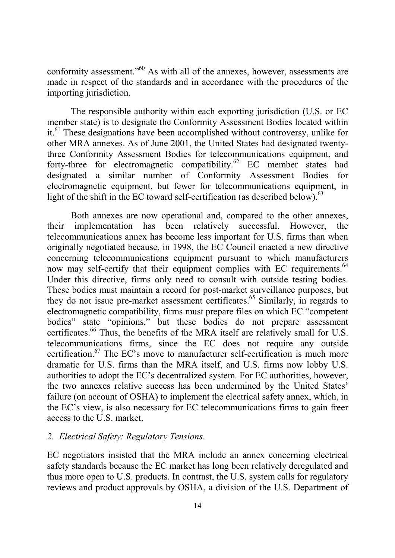conformity assessment."60 As with all of the annexes, however, assessments are made in respect of the standards and in accordance with the procedures of the importing jurisdiction.

The responsible authority within each exporting jurisdiction (U.S. or EC member state) is to designate the Conformity Assessment Bodies located within it.61 These designations have been accomplished without controversy, unlike for other MRA annexes. As of June 2001, the United States had designated twentythree Conformity Assessment Bodies for telecommunications equipment, and forty-three for electromagnetic compatibility.62 EC member states had designated a similar number of Conformity Assessment Bodies for electromagnetic equipment, but fewer for telecommunications equipment, in light of the shift in the EC toward self-certification (as described below). $^{63}$ 

Both annexes are now operational and, compared to the other annexes, their implementation has been relatively successful. However, the telecommunications annex has become less important for U.S. firms than when originally negotiated because, in 1998, the EC Council enacted a new directive concerning telecommunications equipment pursuant to which manufacturers now may self-certify that their equipment complies with EC requirements.<sup>64</sup> Under this directive, firms only need to consult with outside testing bodies. These bodies must maintain a record for post-market surveillance purposes, but they do not issue pre-market assessment certificates.<sup>65</sup> Similarly, in regards to electromagnetic compatibility, firms must prepare files on which EC "competent bodies" state "opinions," but these bodies do not prepare assessment certificates.<sup>66</sup> Thus, the benefits of the MRA itself are relatively small for U.S. telecommunications firms, since the EC does not require any outside certification.67 The EC's move to manufacturer self-certification is much more dramatic for U.S. firms than the MRA itself, and U.S. firms now lobby U.S. authorities to adopt the EC's decentralized system. For EC authorities, however, the two annexes relative success has been undermined by the United States' failure (on account of OSHA) to implement the electrical safety annex, which, in the EC's view, is also necessary for EC telecommunications firms to gain freer access to the U.S. market.

#### *2. Electrical Safety: Regulatory Tensions.*

EC negotiators insisted that the MRA include an annex concerning electrical safety standards because the EC market has long been relatively deregulated and thus more open to U.S. products. In contrast, the U.S. system calls for regulatory reviews and product approvals by OSHA, a division of the U.S. Department of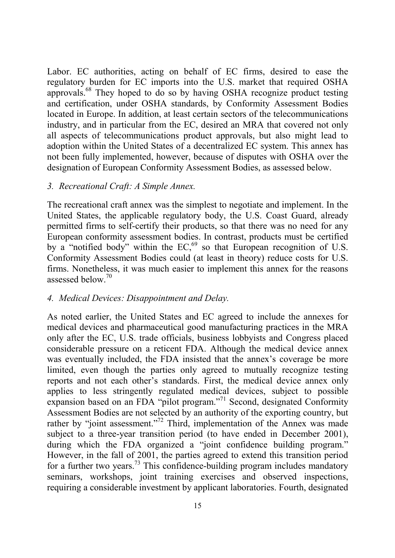Labor. EC authorities, acting on behalf of EC firms, desired to ease the regulatory burden for EC imports into the U.S. market that required OSHA approvals.68 They hoped to do so by having OSHA recognize product testing and certification, under OSHA standards, by Conformity Assessment Bodies located in Europe. In addition, at least certain sectors of the telecommunications industry, and in particular from the EC, desired an MRA that covered not only all aspects of telecommunications product approvals, but also might lead to adoption within the United States of a decentralized EC system. This annex has not been fully implemented, however, because of disputes with OSHA over the designation of European Conformity Assessment Bodies, as assessed below.

#### *3. Recreational Craft: A Simple Annex.*

The recreational craft annex was the simplest to negotiate and implement. In the United States, the applicable regulatory body, the U.S. Coast Guard, already permitted firms to self-certify their products, so that there was no need for any European conformity assessment bodies. In contrast, products must be certified by a "notified body" within the  $EC<sub>69</sub>$  so that European recognition of U.S. Conformity Assessment Bodies could (at least in theory) reduce costs for U.S. firms. Nonetheless, it was much easier to implement this annex for the reasons assessed below.<sup>70</sup>

#### *4. Medical Devices: Disappointment and Delay.*

As noted earlier, the United States and EC agreed to include the annexes for medical devices and pharmaceutical good manufacturing practices in the MRA only after the EC, U.S. trade officials, business lobbyists and Congress placed considerable pressure on a reticent FDA. Although the medical device annex was eventually included, the FDA insisted that the annex's coverage be more limited, even though the parties only agreed to mutually recognize testing reports and not each other's standards. First, the medical device annex only applies to less stringently regulated medical devices, subject to possible expansion based on an FDA "pilot program."<sup>71</sup> Second, designated Conformity Assessment Bodies are not selected by an authority of the exporting country, but rather by "joint assessment."<sup>72</sup> Third, implementation of the Annex was made subject to a three-year transition period (to have ended in December 2001), during which the FDA organized a "joint confidence building program." However, in the fall of 2001, the parties agreed to extend this transition period for a further two years.73 This confidence-building program includes mandatory seminars, workshops, joint training exercises and observed inspections, requiring a considerable investment by applicant laboratories. Fourth, designated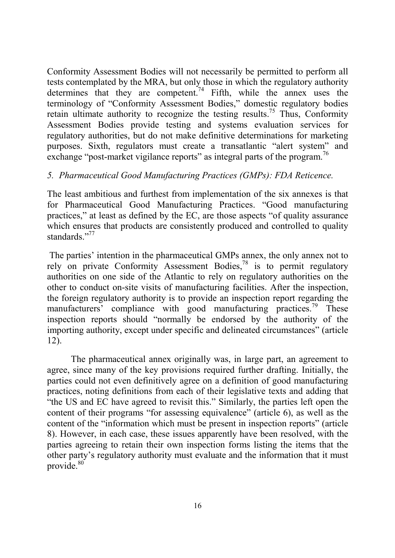Conformity Assessment Bodies will not necessarily be permitted to perform all tests contemplated by the MRA, but only those in which the regulatory authority determines that they are competent.<sup>74</sup> Fifth, while the annex uses the terminology of "Conformity Assessment Bodies," domestic regulatory bodies retain ultimate authority to recognize the testing results.<sup>75</sup> Thus, Conformity Assessment Bodies provide testing and systems evaluation services for regulatory authorities, but do not make definitive determinations for marketing purposes. Sixth, regulators must create a transatlantic "alert system" and exchange "post-market vigilance reports" as integral parts of the program.<sup>76</sup>

## *5. Pharmaceutical Good Manufacturing Practices (GMPs): FDA Reticence.*

The least ambitious and furthest from implementation of the six annexes is that for Pharmaceutical Good Manufacturing Practices. "Good manufacturing practices," at least as defined by the EC, are those aspects "of quality assurance which ensures that products are consistently produced and controlled to quality standards<sup>"77</sup>

 The parties' intention in the pharmaceutical GMPs annex, the only annex not to rely on private Conformity Assessment Bodies,78 is to permit regulatory authorities on one side of the Atlantic to rely on regulatory authorities on the other to conduct on-site visits of manufacturing facilities. After the inspection, the foreign regulatory authority is to provide an inspection report regarding the manufacturers' compliance with good manufacturing practices.<sup>79</sup> These inspection reports should "normally be endorsed by the authority of the importing authority, except under specific and delineated circumstances" (article 12).

The pharmaceutical annex originally was, in large part, an agreement to agree, since many of the key provisions required further drafting. Initially, the parties could not even definitively agree on a definition of good manufacturing practices, noting definitions from each of their legislative texts and adding that "the US and EC have agreed to revisit this." Similarly, the parties left open the content of their programs "for assessing equivalence" (article 6), as well as the content of the "information which must be present in inspection reports" (article 8). However, in each case, these issues apparently have been resolved, with the parties agreeing to retain their own inspection forms listing the items that the other party's regulatory authority must evaluate and the information that it must provide.<sup>80</sup>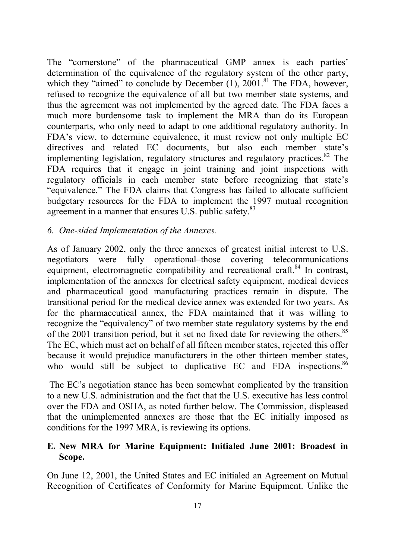The "cornerstone" of the pharmaceutical GMP annex is each parties' determination of the equivalence of the regulatory system of the other party, which they "aimed" to conclude by December  $(1)$ , 2001.<sup>81</sup> The FDA, however, refused to recognize the equivalence of all but two member state systems, and thus the agreement was not implemented by the agreed date. The FDA faces a much more burdensome task to implement the MRA than do its European counterparts, who only need to adapt to one additional regulatory authority. In FDA's view, to determine equivalence, it must review not only multiple EC directives and related EC documents, but also each member state's implementing legislation, regulatory structures and regulatory practices.<sup>82</sup> The FDA requires that it engage in joint training and joint inspections with regulatory officials in each member state before recognizing that state's "equivalence." The FDA claims that Congress has failed to allocate sufficient budgetary resources for the FDA to implement the 1997 mutual recognition agreement in a manner that ensures U.S. public safety.<sup>83</sup>

#### *6. One-sided Implementation of the Annexes.*

As of January 2002, only the three annexes of greatest initial interest to U.S. negotiators were fully operational–those covering telecommunications equipment, electromagnetic compatibility and recreational craft.<sup>84</sup> In contrast, implementation of the annexes for electrical safety equipment, medical devices and pharmaceutical good manufacturing practices remain in dispute. The transitional period for the medical device annex was extended for two years. As for the pharmaceutical annex, the FDA maintained that it was willing to recognize the "equivalency" of two member state regulatory systems by the end of the 2001 transition period, but it set no fixed date for reviewing the others.<sup>85</sup> The EC, which must act on behalf of all fifteen member states, rejected this offer because it would prejudice manufacturers in the other thirteen member states, who would still be subject to duplicative EC and FDA inspections.<sup>86</sup>

 The EC's negotiation stance has been somewhat complicated by the transition to a new U.S. administration and the fact that the U.S. executive has less control over the FDA and OSHA, as noted further below. The Commission, displeased that the unimplemented annexes are those that the EC initially imposed as conditions for the 1997 MRA, is reviewing its options.

## **E. New MRA for Marine Equipment: Initialed June 2001: Broadest in Scope.**

On June 12, 2001, the United States and EC initialed an Agreement on Mutual Recognition of Certificates of Conformity for Marine Equipment. Unlike the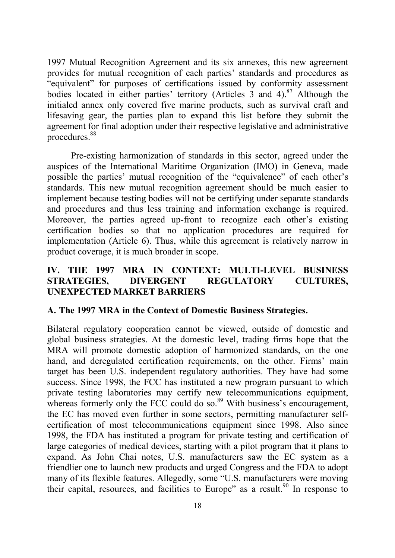1997 Mutual Recognition Agreement and its six annexes, this new agreement provides for mutual recognition of each parties' standards and procedures as "equivalent" for purposes of certifications issued by conformity assessment bodies located in either parties' territory (Articles  $\overline{3}$  and 4).<sup>87</sup> Although the initialed annex only covered five marine products, such as survival craft and lifesaving gear, the parties plan to expand this list before they submit the agreement for final adoption under their respective legislative and administrative procedures.88

Pre-existing harmonization of standards in this sector, agreed under the auspices of the International Maritime Organization (IMO) in Geneva, made possible the parties' mutual recognition of the "equivalence" of each other's standards. This new mutual recognition agreement should be much easier to implement because testing bodies will not be certifying under separate standards and procedures and thus less training and information exchange is required. Moreover, the parties agreed up-front to recognize each other's existing certification bodies so that no application procedures are required for implementation (Article 6). Thus, while this agreement is relatively narrow in product coverage, it is much broader in scope.

## **IV. THE 1997 MRA IN CONTEXT: MULTI-LEVEL BUSINESS STRATEGIES, DIVERGENT REGULATORY CULTURES, UNEXPECTED MARKET BARRIERS**

#### **A. The 1997 MRA in the Context of Domestic Business Strategies.**

Bilateral regulatory cooperation cannot be viewed, outside of domestic and global business strategies. At the domestic level, trading firms hope that the MRA will promote domestic adoption of harmonized standards, on the one hand, and deregulated certification requirements, on the other. Firms' main target has been U.S. independent regulatory authorities. They have had some success. Since 1998, the FCC has instituted a new program pursuant to which private testing laboratories may certify new telecommunications equipment, whereas formerly only the FCC could do so.<sup>89</sup> With business's encouragement, the EC has moved even further in some sectors, permitting manufacturer selfcertification of most telecommunications equipment since 1998. Also since 1998, the FDA has instituted a program for private testing and certification of large categories of medical devices, starting with a pilot program that it plans to expand. As John Chai notes, U.S. manufacturers saw the EC system as a friendlier one to launch new products and urged Congress and the FDA to adopt many of its flexible features. Allegedly, some "U.S. manufacturers were moving their capital, resources, and facilities to Europe" as a result.<sup>90</sup> In response to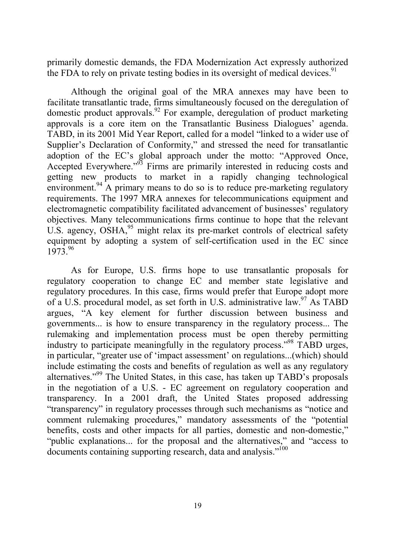primarily domestic demands, the FDA Modernization Act expressly authorized the FDA to rely on private testing bodies in its oversight of medical devices.<sup>91</sup>

Although the original goal of the MRA annexes may have been to facilitate transatlantic trade, firms simultaneously focused on the deregulation of domestic product approvals.<sup>92</sup> For example, deregulation of product marketing approvals is a core item on the Transatlantic Business Dialogues' agenda. TABD, in its 2001 Mid Year Report, called for a model "linked to a wider use of Supplier's Declaration of Conformity," and stressed the need for transatlantic adoption of the EC's global approach under the motto: "Approved Once, Accepted Everywhere."<sup>93</sup> Firms are primarily interested in reducing costs and getting new products to market in a rapidly changing technological environment.<sup>94</sup> A primary means to do so is to reduce pre-marketing regulatory requirements. The 1997 MRA annexes for telecommunications equipment and electromagnetic compatibility facilitated advancement of businesses' regulatory objectives. Many telecommunications firms continue to hope that the relevant U.S. agency,  $\overrightarrow{OSHA}^{95}$  might relax its pre-market controls of electrical safety equipment by adopting a system of self-certification used in the EC since  $1973^{96}$ 

As for Europe, U.S. firms hope to use transatlantic proposals for regulatory cooperation to change EC and member state legislative and regulatory procedures. In this case, firms would prefer that Europe adopt more of a U.S. procedural model, as set forth in U.S. administrative law.  $97$  As TABD argues, "A key element for further discussion between business and governments... is how to ensure transparency in the regulatory process... The rulemaking and implementation process must be open thereby permitting industry to participate meaningfully in the regulatory process."<sup>98</sup> TABD urges, in particular, "greater use of 'impact assessment' on regulations...(which) should include estimating the costs and benefits of regulation as well as any regulatory alternatives."99 The United States, in this case, has taken up TABD's proposals in the negotiation of a U.S. - EC agreement on regulatory cooperation and transparency. In a 2001 draft, the United States proposed addressing "transparency" in regulatory processes through such mechanisms as "notice and comment rulemaking procedures," mandatory assessments of the "potential benefits, costs and other impacts for all parties, domestic and non-domestic," "public explanations... for the proposal and the alternatives," and "access to documents containing supporting research, data and analysis."<sup>100</sup>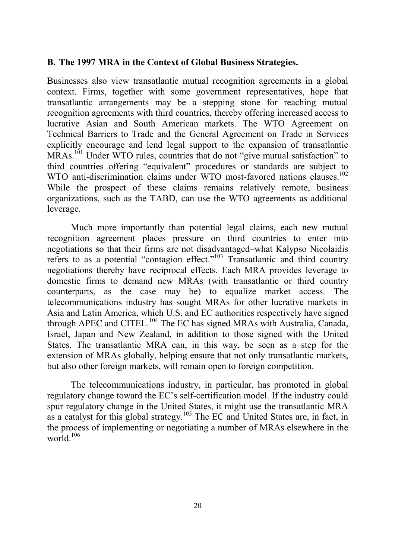#### **B. The 1997 MRA in the Context of Global Business Strategies.**

Businesses also view transatlantic mutual recognition agreements in a global context. Firms, together with some government representatives, hope that transatlantic arrangements may be a stepping stone for reaching mutual recognition agreements with third countries, thereby offering increased access to lucrative Asian and South American markets. The WTO Agreement on Technical Barriers to Trade and the General Agreement on Trade in Services explicitly encourage and lend legal support to the expansion of transatlantic MRAs.<sup>101</sup> Under WTO rules, countries that do not "give mutual satisfaction" to third countries offering "equivalent" procedures or standards are subject to WTO anti-discrimination claims under WTO most-favored nations clauses.<sup>102</sup> While the prospect of these claims remains relatively remote, business organizations, such as the TABD, can use the WTO agreements as additional leverage.

Much more importantly than potential legal claims, each new mutual recognition agreement places pressure on third countries to enter into negotiations so that their firms are not disadvantaged–what Kalypso Nicolaidis refers to as a potential "contagion effect."103 Transatlantic and third country negotiations thereby have reciprocal effects. Each MRA provides leverage to domestic firms to demand new MRAs (with transatlantic or third country counterparts, as the case may be) to equalize market access. The telecommunications industry has sought MRAs for other lucrative markets in Asia and Latin America, which U.S. and EC authorities respectively have signed through APEC and CITEL.<sup>104</sup> The EC has signed MRAs with Australia, Canada, Israel, Japan and New Zealand, in addition to those signed with the United States. The transatlantic MRA can, in this way, be seen as a step for the extension of MRAs globally, helping ensure that not only transatlantic markets, but also other foreign markets, will remain open to foreign competition.

The telecommunications industry, in particular, has promoted in global regulatory change toward the EC's self-certification model. If the industry could spur regulatory change in the United States, it might use the transatlantic MRA as a catalyst for this global strategy.105 The EC and United States are, in fact, in the process of implementing or negotiating a number of MRAs elsewhere in the world $106$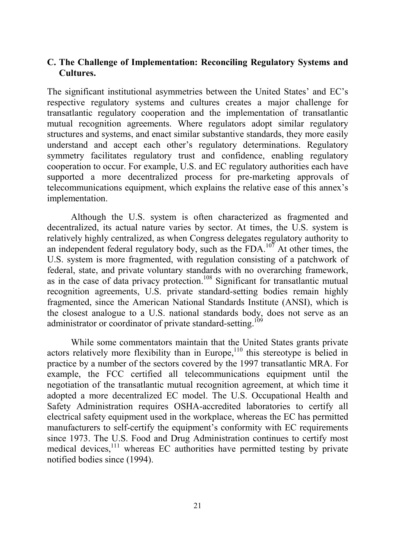#### **C. The Challenge of Implementation: Reconciling Regulatory Systems and Cultures.**

The significant institutional asymmetries between the United States' and EC's respective regulatory systems and cultures creates a major challenge for transatlantic regulatory cooperation and the implementation of transatlantic mutual recognition agreements. Where regulators adopt similar regulatory structures and systems, and enact similar substantive standards, they more easily understand and accept each other's regulatory determinations. Regulatory symmetry facilitates regulatory trust and confidence, enabling regulatory cooperation to occur. For example, U.S. and EC regulatory authorities each have supported a more decentralized process for pre-marketing approvals of telecommunications equipment, which explains the relative ease of this annex's implementation.

Although the U.S. system is often characterized as fragmented and decentralized, its actual nature varies by sector. At times, the U.S. system is relatively highly centralized, as when Congress delegates regulatory authority to an independent federal regulatory body, such as the FDA.<sup>107</sup> At other times, the U.S. system is more fragmented, with regulation consisting of a patchwork of federal, state, and private voluntary standards with no overarching framework, as in the case of data privacy protection.<sup>108</sup> Significant for transatlantic mutual recognition agreements, U.S. private standard-setting bodies remain highly fragmented, since the American National Standards Institute (ANSI), which is the closest analogue to a U.S. national standards body, does not serve as an administrator or coordinator of private standard-setting.<sup>109</sup>

While some commentators maintain that the United States grants private actors relatively more flexibility than in Europe,  $110$  this stereotype is belied in practice by a number of the sectors covered by the 1997 transatlantic MRA. For example, the FCC certified all telecommunications equipment until the negotiation of the transatlantic mutual recognition agreement, at which time it adopted a more decentralized EC model. The U.S. Occupational Health and Safety Administration requires OSHA-accredited laboratories to certify all electrical safety equipment used in the workplace, whereas the EC has permitted manufacturers to self-certify the equipment's conformity with EC requirements since 1973. The U.S. Food and Drug Administration continues to certify most medical devices, $111$  whereas EC authorities have permitted testing by private notified bodies since (1994).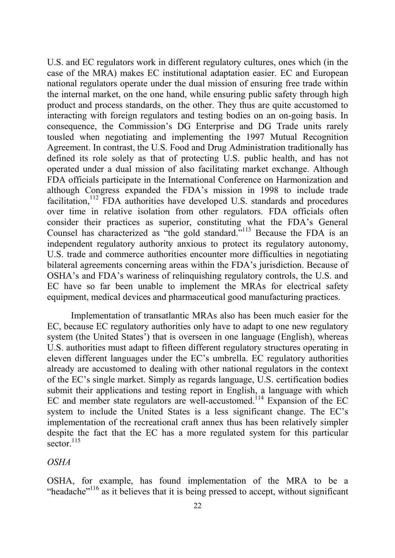U.S. and EC regulators work in different regulatory cultures, ones which (in the case of the MRA) makes EC institutional adaptation easier. EC and European national regulators operate under the dual mission of ensuring free trade within the internal market, on the one hand, while ensuring public safety through high product and process standards, on the other. They thus are quite accustomed to interacting with foreign regulators and testing bodies on an on-going basis. In consequence, the Commission's DG Enterprise and DG Trade units rarely tousled when negotiating and implementing the 1997 Mutual Recognition Agreement. In contrast, the U.S. Food and Drug Administration traditionally has defined its role solely as that of protecting U.S. public health, and has not operated under a dual mission of also facilitating market exchange. Although FDA officials participate in the International Conference on Harmonization and although Congress expanded the FDA's mission in 1998 to include trade facilitation,<sup>112</sup> FDA authorities have developed U.S. standards and procedures over time in relative isolation from other regulators. FDA officials often consider their practices as superior, constituting what the FDA's General Counsel has characterized as "the gold standard."<sup>113</sup> Because the FDA is an independent regulatory authority anxious to protect its regulatory autonomy, U.S. trade and commerce authorities encounter more difficulties in negotiating bilateral agreements concerning areas within the FDA's jurisdiction. Because of OSHA's and FDA's wariness of relinquishing regulatory controls, the U.S. and EC have so far been unable to implement the MRAs for electrical safety equipment, medical devices and pharmaceutical good manufacturing practices.

Implementation of transatlantic MRAs also has been much easier for the EC, because EC regulatory authorities only have to adapt to one new regulatory system (the United States') that is overseen in one language (English), whereas U.S. authorities must adapt to fifteen different regulatory structures operating in eleven different languages under the EC's umbrella. EC regulatory authorities already are accustomed to dealing with other national regulators in the context of the EC's single market. Simply as regards language, U.S. certification bodies submit their applications and testing report in English, a language with which EC and member state regulators are well-accustomed.<sup>114</sup> Expansion of the EC system to include the United States is a less significant change. The EC's implementation of the recreational craft annex thus has been relatively simpler despite the fact that the EC has a more regulated system for this particular sector  $^{115}$ 

#### *OSHA*

OSHA, for example, has found implementation of the MRA to be a "headache"<sup>116</sup> as it believes that it is being pressed to accept, without significant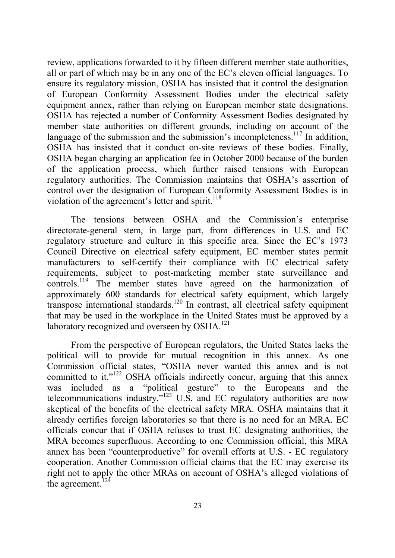review, applications forwarded to it by fifteen different member state authorities, all or part of which may be in any one of the EC's eleven official languages. To ensure its regulatory mission, OSHA has insisted that it control the designation of European Conformity Assessment Bodies under the electrical safety equipment annex, rather than relying on European member state designations. OSHA has rejected a number of Conformity Assessment Bodies designated by member state authorities on different grounds, including on account of the language of the submission and the submission's incompleteness.<sup>117</sup> In addition, OSHA has insisted that it conduct on-site reviews of these bodies. Finally, OSHA began charging an application fee in October 2000 because of the burden of the application process, which further raised tensions with European regulatory authorities. The Commission maintains that OSHA's assertion of control over the designation of European Conformity Assessment Bodies is in violation of the agreement's letter and spirit. $118$ 

The tensions between OSHA and the Commission's enterprise directorate-general stem, in large part, from differences in U.S. and EC regulatory structure and culture in this specific area. Since the EC's 1973 Council Directive on electrical safety equipment, EC member states permit manufacturers to self-certify their compliance with EC electrical safety requirements, subject to post-marketing member state surveillance and controls.<sup>119</sup> The member states have agreed on the harmonization of approximately 600 standards for electrical safety equipment, which largely transpose international standards.<sup>120</sup> In contrast, all electrical safety equipment that may be used in the workplace in the United States must be approved by a laboratory recognized and overseen by OSHA.<sup>121</sup>

From the perspective of European regulators, the United States lacks the political will to provide for mutual recognition in this annex. As one Commission official states, "OSHA never wanted this annex and is not committed to it."122 OSHA officials indirectly concur, arguing that this annex was included as a "political gesture" to the Europeans and the telecommunications industry."123 U.S. and EC regulatory authorities are now skeptical of the benefits of the electrical safety MRA. OSHA maintains that it already certifies foreign laboratories so that there is no need for an MRA. EC officials concur that if OSHA refuses to trust EC designating authorities, the MRA becomes superfluous. According to one Commission official, this MRA annex has been "counterproductive" for overall efforts at U.S. - EC regulatory cooperation. Another Commission official claims that the EC may exercise its right not to apply the other MRAs on account of OSHA's alleged violations of the agreement. $124$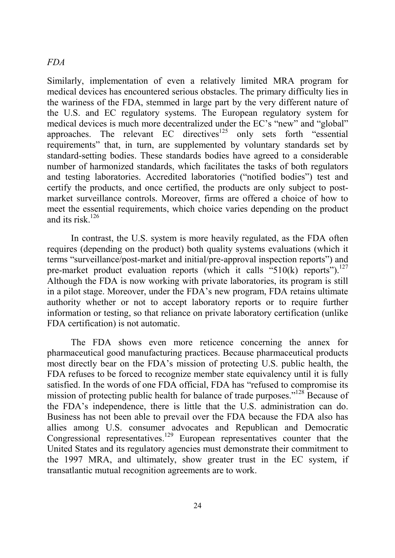#### *FDA*

Similarly, implementation of even a relatively limited MRA program for medical devices has encountered serious obstacles. The primary difficulty lies in the wariness of the FDA, stemmed in large part by the very different nature of the U.S. and EC regulatory systems. The European regulatory system for medical devices is much more decentralized under the EC's "new" and "global" approaches. The relevant EC directives<sup>125</sup> only sets forth "essential" requirements" that, in turn, are supplemented by voluntary standards set by standard-setting bodies. These standards bodies have agreed to a considerable number of harmonized standards, which facilitates the tasks of both regulators and testing laboratories. Accredited laboratories ("notified bodies") test and certify the products, and once certified, the products are only subject to postmarket surveillance controls. Moreover, firms are offered a choice of how to meet the essential requirements, which choice varies depending on the product and its risk  $^{126}$ 

In contrast, the U.S. system is more heavily regulated, as the FDA often requires (depending on the product) both quality systems evaluations (which it terms "surveillance/post-market and initial/pre-approval inspection reports") and pre-market product evaluation reports (which it calls "510(k) reports").<sup>127</sup> Although the FDA is now working with private laboratories, its program is still in a pilot stage. Moreover, under the FDA's new program, FDA retains ultimate authority whether or not to accept laboratory reports or to require further information or testing, so that reliance on private laboratory certification (unlike FDA certification) is not automatic.

The FDA shows even more reticence concerning the annex for pharmaceutical good manufacturing practices. Because pharmaceutical products most directly bear on the FDA's mission of protecting U.S. public health, the FDA refuses to be forced to recognize member state equivalency until it is fully satisfied. In the words of one FDA official, FDA has "refused to compromise its mission of protecting public health for balance of trade purposes."<sup>128</sup> Because of the FDA's independence, there is little that the U.S. administration can do. Business has not been able to prevail over the FDA because the FDA also has allies among U.S. consumer advocates and Republican and Democratic Congressional representatives.129 European representatives counter that the United States and its regulatory agencies must demonstrate their commitment to the 1997 MRA, and ultimately, show greater trust in the EC system, if transatlantic mutual recognition agreements are to work.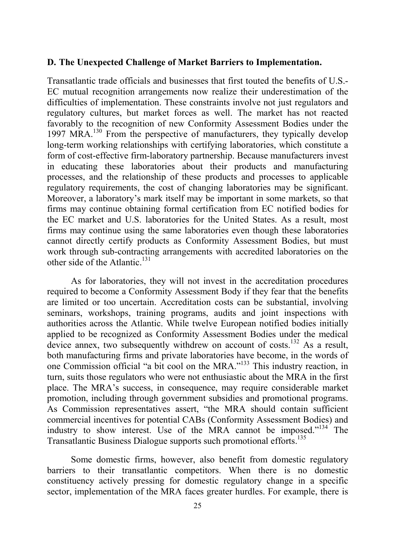#### **D. The Unexpected Challenge of Market Barriers to Implementation.**

Transatlantic trade officials and businesses that first touted the benefits of U.S.- EC mutual recognition arrangements now realize their underestimation of the difficulties of implementation. These constraints involve not just regulators and regulatory cultures, but market forces as well. The market has not reacted favorably to the recognition of new Conformity Assessment Bodies under the 1997 MRA.<sup>130</sup> From the perspective of manufacturers, they typically develop long-term working relationships with certifying laboratories, which constitute a form of cost-effective firm-laboratory partnership. Because manufacturers invest in educating these laboratories about their products and manufacturing processes, and the relationship of these products and processes to applicable regulatory requirements, the cost of changing laboratories may be significant. Moreover, a laboratory's mark itself may be important in some markets, so that firms may continue obtaining formal certification from EC notified bodies for the EC market and U.S. laboratories for the United States. As a result, most firms may continue using the same laboratories even though these laboratories cannot directly certify products as Conformity Assessment Bodies, but must work through sub-contracting arrangements with accredited laboratories on the other side of the Atlantic.<sup>131</sup>

As for laboratories, they will not invest in the accreditation procedures required to become a Conformity Assessment Body if they fear that the benefits are limited or too uncertain. Accreditation costs can be substantial, involving seminars, workshops, training programs, audits and joint inspections with authorities across the Atlantic. While twelve European notified bodies initially applied to be recognized as Conformity Assessment Bodies under the medical device annex, two subsequently withdrew on account of costs.<sup>132</sup> As a result, both manufacturing firms and private laboratories have become, in the words of one Commission official "a bit cool on the MRA."133 This industry reaction, in turn, suits those regulators who were not enthusiastic about the MRA in the first place. The MRA's success, in consequence, may require considerable market promotion, including through government subsidies and promotional programs. As Commission representatives assert, "the MRA should contain sufficient commercial incentives for potential CABs (Conformity Assessment Bodies) and industry to show interest. Use of the MRA cannot be imposed."<sup>134</sup> The Transatlantic Business Dialogue supports such promotional efforts.135

Some domestic firms, however, also benefit from domestic regulatory barriers to their transatlantic competitors. When there is no domestic constituency actively pressing for domestic regulatory change in a specific sector, implementation of the MRA faces greater hurdles. For example, there is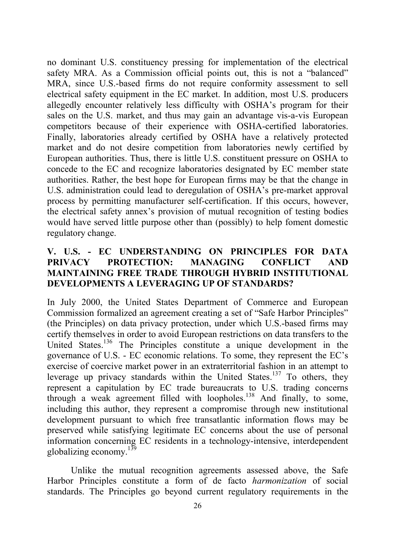no dominant U.S. constituency pressing for implementation of the electrical safety MRA. As a Commission official points out, this is not a "balanced" MRA, since U.S.-based firms do not require conformity assessment to sell electrical safety equipment in the EC market. In addition, most U.S. producers allegedly encounter relatively less difficulty with OSHA's program for their sales on the U.S. market, and thus may gain an advantage vis-a-vis European competitors because of their experience with OSHA-certified laboratories. Finally, laboratories already certified by OSHA have a relatively protected market and do not desire competition from laboratories newly certified by European authorities. Thus, there is little U.S. constituent pressure on OSHA to concede to the EC and recognize laboratories designated by EC member state authorities. Rather, the best hope for European firms may be that the change in U.S. administration could lead to deregulation of OSHA's pre-market approval process by permitting manufacturer self-certification. If this occurs, however, the electrical safety annex's provision of mutual recognition of testing bodies would have served little purpose other than (possibly) to help foment domestic regulatory change.

## **V. U.S. - EC UNDERSTANDING ON PRINCIPLES FOR DATA PRIVACY PROTECTION: MANAGING CONFLICT AND MAINTAINING FREE TRADE THROUGH HYBRID INSTITUTIONAL DEVELOPMENTS A LEVERAGING UP OF STANDARDS?**

In July 2000, the United States Department of Commerce and European Commission formalized an agreement creating a set of "Safe Harbor Principles" (the Principles) on data privacy protection, under which U.S.-based firms may certify themselves in order to avoid European restrictions on data transfers to the United States.<sup>136</sup> The Principles constitute a unique development in the governance of U.S. - EC economic relations. To some, they represent the EC's exercise of coercive market power in an extraterritorial fashion in an attempt to leverage up privacy standards within the United States.<sup>137</sup> To others, they represent a capitulation by EC trade bureaucrats to U.S. trading concerns through a weak agreement filled with loopholes.138 And finally, to some, including this author, they represent a compromise through new institutional development pursuant to which free transatlantic information flows may be preserved while satisfying legitimate EC concerns about the use of personal information concerning EC residents in a technology-intensive, interdependent globalizing economy.<sup>139</sup>

Unlike the mutual recognition agreements assessed above, the Safe Harbor Principles constitute a form of de facto *harmonization* of social standards. The Principles go beyond current regulatory requirements in the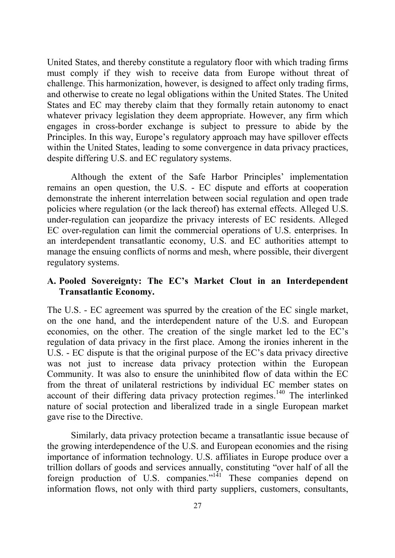United States, and thereby constitute a regulatory floor with which trading firms must comply if they wish to receive data from Europe without threat of challenge. This harmonization, however, is designed to affect only trading firms, and otherwise to create no legal obligations within the United States. The United States and EC may thereby claim that they formally retain autonomy to enact whatever privacy legislation they deem appropriate. However, any firm which engages in cross-border exchange is subject to pressure to abide by the Principles. In this way, Europe's regulatory approach may have spillover effects within the United States, leading to some convergence in data privacy practices, despite differing U.S. and EC regulatory systems.

Although the extent of the Safe Harbor Principles' implementation remains an open question, the U.S. - EC dispute and efforts at cooperation demonstrate the inherent interrelation between social regulation and open trade policies where regulation (or the lack thereof) has external effects. Alleged U.S. under-regulation can jeopardize the privacy interests of EC residents. Alleged EC over-regulation can limit the commercial operations of U.S. enterprises. In an interdependent transatlantic economy, U.S. and EC authorities attempt to manage the ensuing conflicts of norms and mesh, where possible, their divergent regulatory systems.

#### **A. Pooled Sovereignty: The EC's Market Clout in an Interdependent Transatlantic Economy.**

The U.S. - EC agreement was spurred by the creation of the EC single market, on the one hand, and the interdependent nature of the U.S. and European economies, on the other. The creation of the single market led to the EC's regulation of data privacy in the first place. Among the ironies inherent in the U.S. - EC dispute is that the original purpose of the EC's data privacy directive was not just to increase data privacy protection within the European Community. It was also to ensure the uninhibited flow of data within the EC from the threat of unilateral restrictions by individual EC member states on account of their differing data privacy protection regimes.<sup>140</sup> The interlinked nature of social protection and liberalized trade in a single European market gave rise to the Directive.

Similarly, data privacy protection became a transatlantic issue because of the growing interdependence of the U.S. and European economies and the rising importance of information technology. U.S. affiliates in Europe produce over a trillion dollars of goods and services annually, constituting "over half of all the foreign production of U.S. companies."<sup>141</sup> These companies depend on information flows, not only with third party suppliers, customers, consultants,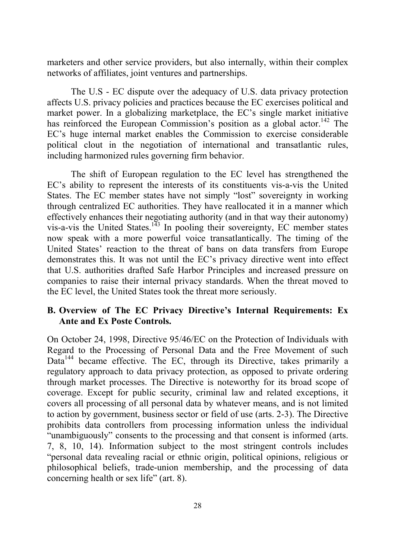marketers and other service providers, but also internally, within their complex networks of affiliates, joint ventures and partnerships.

The U.S - EC dispute over the adequacy of U.S. data privacy protection affects U.S. privacy policies and practices because the EC exercises political and market power. In a globalizing marketplace, the EC's single market initiative has reinforced the European Commission's position as a global actor.<sup>142</sup> The EC's huge internal market enables the Commission to exercise considerable political clout in the negotiation of international and transatlantic rules, including harmonized rules governing firm behavior.

The shift of European regulation to the EC level has strengthened the EC's ability to represent the interests of its constituents vis-a-vis the United States. The EC member states have not simply "lost" sovereignty in working through centralized EC authorities. They have reallocated it in a manner which effectively enhances their negotiating authority (and in that way their autonomy) vis-a-vis the United States.<sup>143</sup> In pooling their sovereignty, EC member states now speak with a more powerful voice transatlantically. The timing of the United States' reaction to the threat of bans on data transfers from Europe demonstrates this. It was not until the EC's privacy directive went into effect that U.S. authorities drafted Safe Harbor Principles and increased pressure on companies to raise their internal privacy standards. When the threat moved to the EC level, the United States took the threat more seriously.

## **B. Overview of The EC Privacy Directive's Internal Requirements: Ex Ante and Ex Poste Controls.**

On October 24, 1998, Directive 95/46/EC on the Protection of Individuals with Regard to the Processing of Personal Data and the Free Movement of such Data<sup>144</sup> became effective. The EC, through its Directive, takes primarily a regulatory approach to data privacy protection, as opposed to private ordering through market processes. The Directive is noteworthy for its broad scope of coverage. Except for public security, criminal law and related exceptions, it covers all processing of all personal data by whatever means, and is not limited to action by government, business sector or field of use (arts. 2-3). The Directive prohibits data controllers from processing information unless the individual "unambiguously" consents to the processing and that consent is informed (arts. 7, 8, 10, 14). Information subject to the most stringent controls includes "personal data revealing racial or ethnic origin, political opinions, religious or philosophical beliefs, trade-union membership, and the processing of data concerning health or sex life" (art. 8).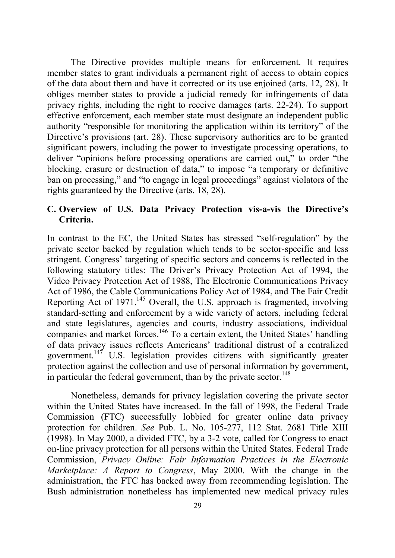The Directive provides multiple means for enforcement. It requires member states to grant individuals a permanent right of access to obtain copies of the data about them and have it corrected or its use enjoined (arts. 12, 28). It obliges member states to provide a judicial remedy for infringements of data privacy rights, including the right to receive damages (arts. 22-24). To support effective enforcement, each member state must designate an independent public authority "responsible for monitoring the application within its territory" of the Directive's provisions (art. 28). These supervisory authorities are to be granted significant powers, including the power to investigate processing operations, to deliver "opinions before processing operations are carried out," to order "the blocking, erasure or destruction of data," to impose "a temporary or definitive ban on processing," and "to engage in legal proceedings" against violators of the rights guaranteed by the Directive (arts. 18, 28).

#### **C. Overview of U.S. Data Privacy Protection vis-a-vis the Directive's Criteria.**

In contrast to the EC, the United States has stressed "self-regulation" by the private sector backed by regulation which tends to be sector-specific and less stringent. Congress' targeting of specific sectors and concerns is reflected in the following statutory titles: The Driver's Privacy Protection Act of 1994, the Video Privacy Protection Act of 1988, The Electronic Communications Privacy Act of 1986, the Cable Communications Policy Act of 1984, and The Fair Credit Reporting Act of  $1971$ <sup>145</sup> Overall, the U.S. approach is fragmented, involving standard-setting and enforcement by a wide variety of actors, including federal and state legislatures, agencies and courts, industry associations, individual companies and market forces.<sup>146</sup> To a certain extent, the United States' handling of data privacy issues reflects Americans' traditional distrust of a centralized government.147 U.S. legislation provides citizens with significantly greater protection against the collection and use of personal information by government, in particular the federal government, than by the private sector.<sup>148</sup>

Nonetheless, demands for privacy legislation covering the private sector within the United States have increased. In the fall of 1998, the Federal Trade Commission (FTC) successfully lobbied for greater online data privacy protection for children. *See* Pub. L. No. 105-277, 112 Stat. 2681 Title XIII (1998). In May 2000, a divided FTC, by a 3-2 vote, called for Congress to enact on-line privacy protection for all persons within the United States. Federal Trade Commission, *Privacy Online: Fair Information Practices in the Electronic Marketplace: A Report to Congress*, May 2000. With the change in the administration, the FTC has backed away from recommending legislation. The Bush administration nonetheless has implemented new medical privacy rules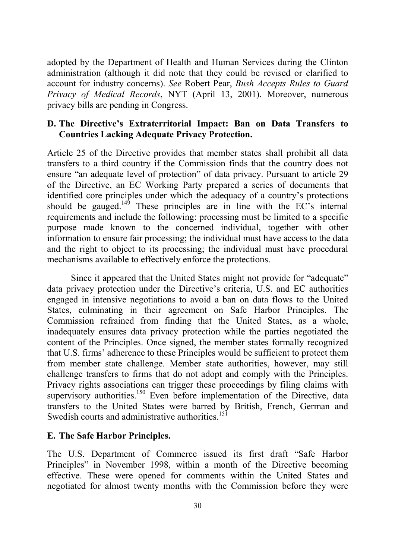adopted by the Department of Health and Human Services during the Clinton administration (although it did note that they could be revised or clarified to account for industry concerns). *See* Robert Pear, *Bush Accepts Rules to Guard Privacy of Medical Records*, NYT (April 13, 2001). Moreover, numerous privacy bills are pending in Congress.

## **D. The Directive's Extraterritorial Impact: Ban on Data Transfers to Countries Lacking Adequate Privacy Protection.**

Article 25 of the Directive provides that member states shall prohibit all data transfers to a third country if the Commission finds that the country does not ensure "an adequate level of protection" of data privacy. Pursuant to article 29 of the Directive, an EC Working Party prepared a series of documents that identified core principles under which the adequacy of a country's protections should be gauged.<sup>149</sup> These principles are in line with the  $EC$ 's internal requirements and include the following: processing must be limited to a specific purpose made known to the concerned individual, together with other information to ensure fair processing; the individual must have access to the data and the right to object to its processing; the individual must have procedural mechanisms available to effectively enforce the protections.

Since it appeared that the United States might not provide for "adequate" data privacy protection under the Directive's criteria, U.S. and EC authorities engaged in intensive negotiations to avoid a ban on data flows to the United States, culminating in their agreement on Safe Harbor Principles. The Commission refrained from finding that the United States, as a whole, inadequately ensures data privacy protection while the parties negotiated the content of the Principles. Once signed, the member states formally recognized that U.S. firms' adherence to these Principles would be sufficient to protect them from member state challenge. Member state authorities, however, may still challenge transfers to firms that do not adopt and comply with the Principles. Privacy rights associations can trigger these proceedings by filing claims with supervisory authorities.<sup>150</sup> Even before implementation of the Directive, data transfers to the United States were barred by British, French, German and Swedish courts and administrative authorities.<sup>151</sup>

## **E. The Safe Harbor Principles.**

The U.S. Department of Commerce issued its first draft "Safe Harbor Principles" in November 1998, within a month of the Directive becoming effective. These were opened for comments within the United States and negotiated for almost twenty months with the Commission before they were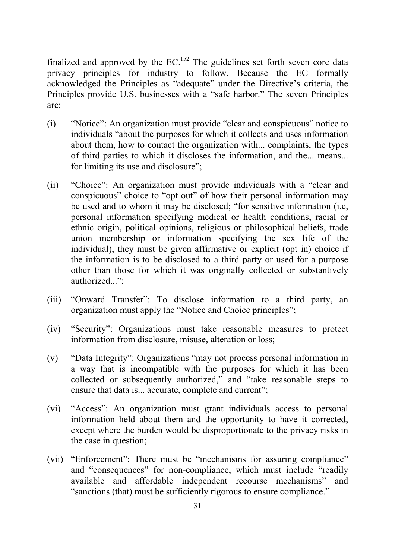finalized and approved by the  $EC$ <sup>152</sup>. The guidelines set forth seven core data privacy principles for industry to follow. Because the EC formally acknowledged the Principles as "adequate" under the Directive's criteria, the Principles provide U.S. businesses with a "safe harbor." The seven Principles are:

- (i) "Notice": An organization must provide "clear and conspicuous" notice to individuals "about the purposes for which it collects and uses information about them, how to contact the organization with... complaints, the types of third parties to which it discloses the information, and the... means... for limiting its use and disclosure";
- (ii) "Choice": An organization must provide individuals with a "clear and conspicuous" choice to "opt out" of how their personal information may be used and to whom it may be disclosed; "for sensitive information (i.e, personal information specifying medical or health conditions, racial or ethnic origin, political opinions, religious or philosophical beliefs, trade union membership or information specifying the sex life of the individual), they must be given affirmative or explicit (opt in) choice if the information is to be disclosed to a third party or used for a purpose other than those for which it was originally collected or substantively authorized...";
- (iii) "Onward Transfer": To disclose information to a third party, an organization must apply the "Notice and Choice principles";
- (iv) "Security": Organizations must take reasonable measures to protect information from disclosure, misuse, alteration or loss;
- (v) "Data Integrity": Organizations "may not process personal information in a way that is incompatible with the purposes for which it has been collected or subsequently authorized," and "take reasonable steps to ensure that data is... accurate, complete and current";
- (vi) "Access": An organization must grant individuals access to personal information held about them and the opportunity to have it corrected, except where the burden would be disproportionate to the privacy risks in the case in question;
- (vii) "Enforcement": There must be "mechanisms for assuring compliance" and "consequences" for non-compliance, which must include "readily available and affordable independent recourse mechanisms" and "sanctions (that) must be sufficiently rigorous to ensure compliance."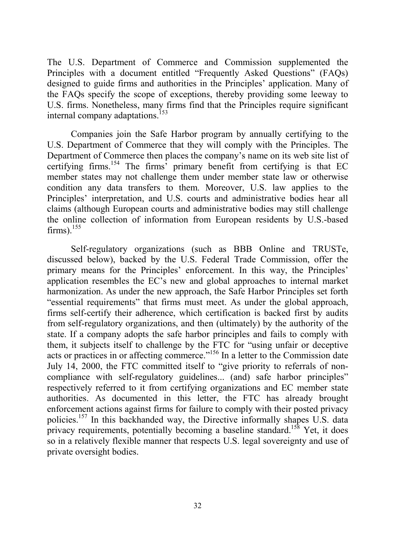The U.S. Department of Commerce and Commission supplemented the Principles with a document entitled "Frequently Asked Questions" (FAQs) designed to guide firms and authorities in the Principles' application. Many of the FAQs specify the scope of exceptions, thereby providing some leeway to U.S. firms. Nonetheless, many firms find that the Principles require significant internal company adaptations.<sup>153</sup>

Companies join the Safe Harbor program by annually certifying to the U.S. Department of Commerce that they will comply with the Principles. The Department of Commerce then places the company's name on its web site list of certifying firms.<sup>154</sup> The firms<sup>3</sup> primary benefit from certifying is that EC member states may not challenge them under member state law or otherwise condition any data transfers to them. Moreover, U.S. law applies to the Principles' interpretation, and U.S. courts and administrative bodies hear all claims (although European courts and administrative bodies may still challenge the online collection of information from European residents by U.S.-based  $firms)^{155}$ 

Self-regulatory organizations (such as BBB Online and TRUSTe, discussed below), backed by the U.S. Federal Trade Commission, offer the primary means for the Principles' enforcement. In this way, the Principles' application resembles the EC's new and global approaches to internal market harmonization. As under the new approach, the Safe Harbor Principles set forth "essential requirements" that firms must meet. As under the global approach, firms self-certify their adherence, which certification is backed first by audits from self-regulatory organizations, and then (ultimately) by the authority of the state. If a company adopts the safe harbor principles and fails to comply with them, it subjects itself to challenge by the FTC for "using unfair or deceptive acts or practices in or affecting commerce."156 In a letter to the Commission date July 14, 2000, the FTC committed itself to "give priority to referrals of noncompliance with self-regulatory guidelines... (and) safe harbor principles" respectively referred to it from certifying organizations and EC member state authorities. As documented in this letter, the FTC has already brought enforcement actions against firms for failure to comply with their posted privacy policies.157 In this backhanded way, the Directive informally shapes U.S. data privacy requirements, potentially becoming a baseline standard.<sup>158</sup> Yet, it does so in a relatively flexible manner that respects U.S. legal sovereignty and use of private oversight bodies.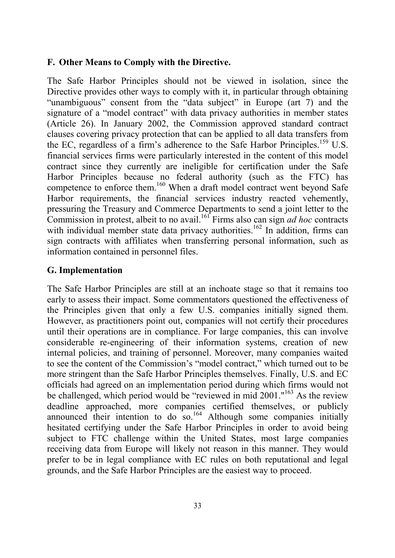#### **F. Other Means to Comply with the Directive.**

The Safe Harbor Principles should not be viewed in isolation, since the Directive provides other ways to comply with it, in particular through obtaining "unambiguous" consent from the "data subject" in Europe (art 7) and the signature of a "model contract" with data privacy authorities in member states (Article 26). In January 2002, the Commission approved standard contract clauses covering privacy protection that can be applied to all data transfers from the EC, regardless of a firm's adherence to the Safe Harbor Principles.<sup>159</sup> U.S. financial services firms were particularly interested in the content of this model contract since they currently are ineligible for certification under the Safe Harbor Principles because no federal authority (such as the FTC) has competence to enforce them.<sup>160</sup> When a draft model contract went beyond Safe Harbor requirements, the financial services industry reacted vehemently, pressuring the Treasury and Commerce Departments to send a joint letter to the Commission in protest, albeit to no avail.161 Firms also can sign *ad hoc* contracts with individual member state data privacy authorities.<sup>162</sup> In addition, firms can sign contracts with affiliates when transferring personal information, such as information contained in personnel files.

## **G. Implementation**

The Safe Harbor Principles are still at an inchoate stage so that it remains too early to assess their impact. Some commentators questioned the effectiveness of the Principles given that only a few U.S. companies initially signed them. However, as practitioners point out, companies will not certify their procedures until their operations are in compliance. For large companies, this can involve considerable re-engineering of their information systems, creation of new internal policies, and training of personnel. Moreover, many companies waited to see the content of the Commission's "model contract," which turned out to be more stringent than the Safe Harbor Principles themselves. Finally, U.S. and EC officials had agreed on an implementation period during which firms would not be challenged, which period would be "reviewed in mid 2001."163 As the review deadline approached, more companies certified themselves, or publicly announced their intention to do so.<sup>164</sup> Although some companies initially hesitated certifying under the Safe Harbor Principles in order to avoid being subject to FTC challenge within the United States, most large companies receiving data from Europe will likely not reason in this manner. They would prefer to be in legal compliance with EC rules on both reputational and legal grounds, and the Safe Harbor Principles are the easiest way to proceed.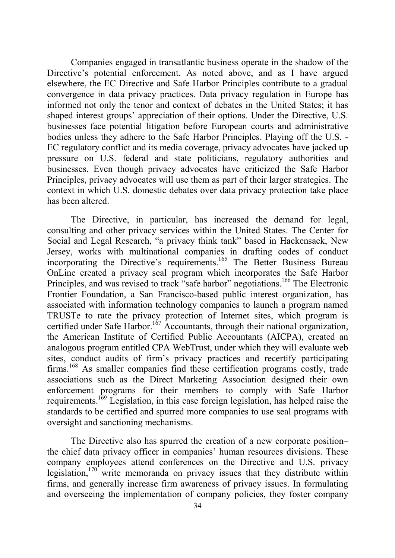Companies engaged in transatlantic business operate in the shadow of the Directive's potential enforcement. As noted above, and as I have argued elsewhere, the EC Directive and Safe Harbor Principles contribute to a gradual convergence in data privacy practices. Data privacy regulation in Europe has informed not only the tenor and context of debates in the United States; it has shaped interest groups' appreciation of their options. Under the Directive, U.S. businesses face potential litigation before European courts and administrative bodies unless they adhere to the Safe Harbor Principles. Playing off the U.S. - EC regulatory conflict and its media coverage, privacy advocates have jacked up pressure on U.S. federal and state politicians, regulatory authorities and businesses. Even though privacy advocates have criticized the Safe Harbor Principles, privacy advocates will use them as part of their larger strategies. The context in which U.S. domestic debates over data privacy protection take place has been altered.

The Directive, in particular, has increased the demand for legal, consulting and other privacy services within the United States. The Center for Social and Legal Research, "a privacy think tank" based in Hackensack, New Jersey, works with multinational companies in drafting codes of conduct incorporating the Directive's requirements.<sup>165</sup> The Better Business Bureau OnLine created a privacy seal program which incorporates the Safe Harbor Principles, and was revised to track "safe harbor" negotiations.<sup>166</sup> The Electronic Frontier Foundation, a San Francisco-based public interest organization, has associated with information technology companies to launch a program named TRUSTe to rate the privacy protection of Internet sites, which program is certified under Safe Harbor.<sup>167</sup> Accountants, through their national organization, the American Institute of Certified Public Accountants (AICPA), created an analogous program entitled CPA WebTrust, under which they will evaluate web sites, conduct audits of firm's privacy practices and recertify participating firms.168 As smaller companies find these certification programs costly, trade associations such as the Direct Marketing Association designed their own enforcement programs for their members to comply with Safe Harbor requirements.169 Legislation, in this case foreign legislation, has helped raise the standards to be certified and spurred more companies to use seal programs with oversight and sanctioning mechanisms.

The Directive also has spurred the creation of a new corporate position– the chief data privacy officer in companies' human resources divisions. These company employees attend conferences on the Directive and U.S. privacy legislation,<sup>170</sup> write memoranda on privacy issues that they distribute within firms, and generally increase firm awareness of privacy issues. In formulating and overseeing the implementation of company policies, they foster company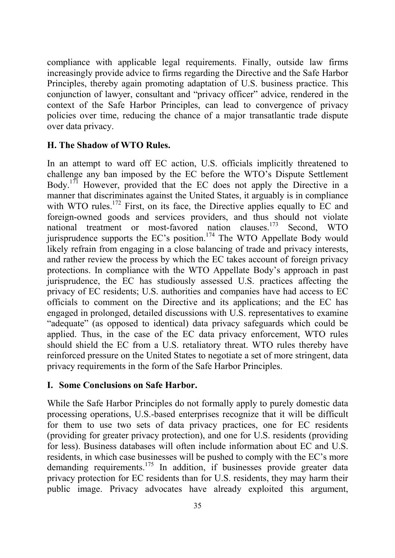compliance with applicable legal requirements. Finally, outside law firms increasingly provide advice to firms regarding the Directive and the Safe Harbor Principles, thereby again promoting adaptation of U.S. business practice. This conjunction of lawyer, consultant and "privacy officer" advice, rendered in the context of the Safe Harbor Principles, can lead to convergence of privacy policies over time, reducing the chance of a major transatlantic trade dispute over data privacy.

## **H. The Shadow of WTO Rules.**

In an attempt to ward off EC action, U.S. officials implicitly threatened to challenge any ban imposed by the EC before the WTO's Dispute Settlement Body.171 However, provided that the EC does not apply the Directive in a manner that discriminates against the United States, it arguably is in compliance with WTO rules.<sup>172</sup> First, on its face, the Directive applies equally to EC and foreign-owned goods and services providers, and thus should not violate national treatment or most-favored nation clauses.173 Second, WTO jurisprudence supports the EC's position.<sup>174</sup> The WTO Appellate Body would likely refrain from engaging in a close balancing of trade and privacy interests, and rather review the process by which the EC takes account of foreign privacy protections. In compliance with the WTO Appellate Body's approach in past jurisprudence, the EC has studiously assessed U.S. practices affecting the privacy of EC residents; U.S. authorities and companies have had access to EC officials to comment on the Directive and its applications; and the EC has engaged in prolonged, detailed discussions with U.S. representatives to examine "adequate" (as opposed to identical) data privacy safeguards which could be applied. Thus, in the case of the EC data privacy enforcement, WTO rules should shield the EC from a U.S. retaliatory threat. WTO rules thereby have reinforced pressure on the United States to negotiate a set of more stringent, data privacy requirements in the form of the Safe Harbor Principles.

#### **I. Some Conclusions on Safe Harbor.**

While the Safe Harbor Principles do not formally apply to purely domestic data processing operations, U.S.-based enterprises recognize that it will be difficult for them to use two sets of data privacy practices, one for EC residents (providing for greater privacy protection), and one for U.S. residents (providing for less). Business databases will often include information about EC and U.S. residents, in which case businesses will be pushed to comply with the EC's more demanding requirements.<sup>175</sup> In addition, if businesses provide greater data privacy protection for EC residents than for U.S. residents, they may harm their public image. Privacy advocates have already exploited this argument,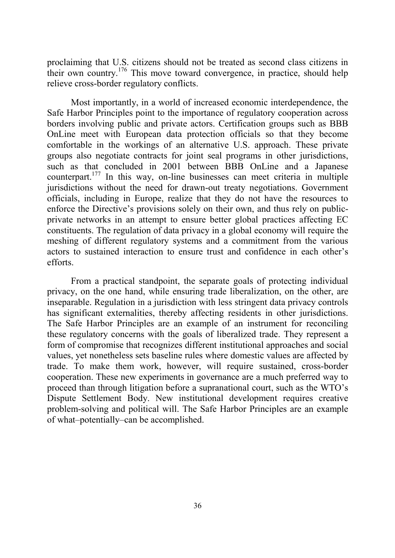proclaiming that U.S. citizens should not be treated as second class citizens in their own country.176 This move toward convergence, in practice, should help relieve cross-border regulatory conflicts.

Most importantly, in a world of increased economic interdependence, the Safe Harbor Principles point to the importance of regulatory cooperation across borders involving public and private actors. Certification groups such as BBB OnLine meet with European data protection officials so that they become comfortable in the workings of an alternative U.S. approach. These private groups also negotiate contracts for joint seal programs in other jurisdictions, such as that concluded in 2001 between BBB OnLine and a Japanese counterpart.177 In this way, on-line businesses can meet criteria in multiple jurisdictions without the need for drawn-out treaty negotiations. Government officials, including in Europe, realize that they do not have the resources to enforce the Directive's provisions solely on their own, and thus rely on publicprivate networks in an attempt to ensure better global practices affecting EC constituents. The regulation of data privacy in a global economy will require the meshing of different regulatory systems and a commitment from the various actors to sustained interaction to ensure trust and confidence in each other's efforts.

From a practical standpoint, the separate goals of protecting individual privacy, on the one hand, while ensuring trade liberalization, on the other, are inseparable. Regulation in a jurisdiction with less stringent data privacy controls has significant externalities, thereby affecting residents in other jurisdictions. The Safe Harbor Principles are an example of an instrument for reconciling these regulatory concerns with the goals of liberalized trade. They represent a form of compromise that recognizes different institutional approaches and social values, yet nonetheless sets baseline rules where domestic values are affected by trade. To make them work, however, will require sustained, cross-border cooperation. These new experiments in governance are a much preferred way to proceed than through litigation before a supranational court, such as the WTO's Dispute Settlement Body. New institutional development requires creative problem-solving and political will. The Safe Harbor Principles are an example of what–potentially–can be accomplished.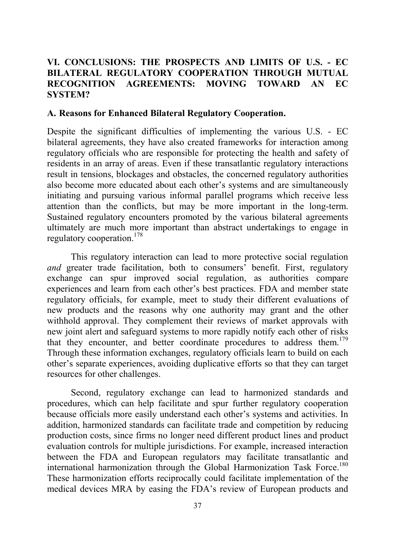## **VI. CONCLUSIONS: THE PROSPECTS AND LIMITS OF U.S. - EC BILATERAL REGULATORY COOPERATION THROUGH MUTUAL RECOGNITION AGREEMENTS: MOVING TOWARD AN EC SYSTEM?**

#### **A. Reasons for Enhanced Bilateral Regulatory Cooperation.**

Despite the significant difficulties of implementing the various U.S. - EC bilateral agreements, they have also created frameworks for interaction among regulatory officials who are responsible for protecting the health and safety of residents in an array of areas. Even if these transatlantic regulatory interactions result in tensions, blockages and obstacles, the concerned regulatory authorities also become more educated about each other's systems and are simultaneously initiating and pursuing various informal parallel programs which receive less attention than the conflicts, but may be more important in the long-term. Sustained regulatory encounters promoted by the various bilateral agreements ultimately are much more important than abstract undertakings to engage in regulatory cooperation.178

This regulatory interaction can lead to more protective social regulation *and* greater trade facilitation, both to consumers<sup>7</sup> benefit. First, regulatory exchange can spur improved social regulation, as authorities compare experiences and learn from each other's best practices. FDA and member state regulatory officials, for example, meet to study their different evaluations of new products and the reasons why one authority may grant and the other withhold approval. They complement their reviews of market approvals with new joint alert and safeguard systems to more rapidly notify each other of risks that they encounter, and better coordinate procedures to address them.<sup>179</sup> Through these information exchanges, regulatory officials learn to build on each other's separate experiences, avoiding duplicative efforts so that they can target resources for other challenges.

Second, regulatory exchange can lead to harmonized standards and procedures, which can help facilitate and spur further regulatory cooperation because officials more easily understand each other's systems and activities. In addition, harmonized standards can facilitate trade and competition by reducing production costs, since firms no longer need different product lines and product evaluation controls for multiple jurisdictions. For example, increased interaction between the FDA and European regulators may facilitate transatlantic and international harmonization through the Global Harmonization Task Force.<sup>180</sup> These harmonization efforts reciprocally could facilitate implementation of the medical devices MRA by easing the FDA's review of European products and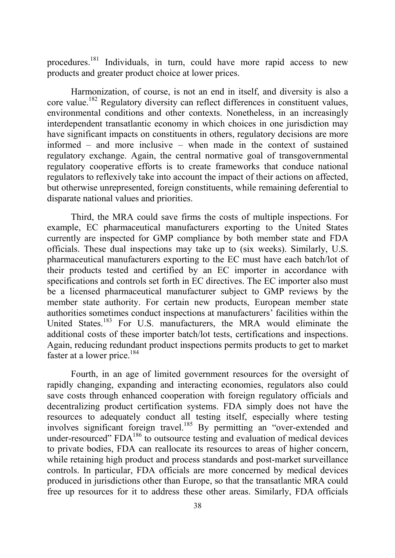procedures.181 Individuals, in turn, could have more rapid access to new products and greater product choice at lower prices.

Harmonization, of course, is not an end in itself, and diversity is also a core value.182 Regulatory diversity can reflect differences in constituent values, environmental conditions and other contexts. Nonetheless, in an increasingly interdependent transatlantic economy in which choices in one jurisdiction may have significant impacts on constituents in others, regulatory decisions are more informed – and more inclusive – when made in the context of sustained regulatory exchange. Again, the central normative goal of transgovernmental regulatory cooperative efforts is to create frameworks that conduce national regulators to reflexively take into account the impact of their actions on affected, but otherwise unrepresented, foreign constituents, while remaining deferential to disparate national values and priorities.

Third, the MRA could save firms the costs of multiple inspections. For example, EC pharmaceutical manufacturers exporting to the United States currently are inspected for GMP compliance by both member state and FDA officials. These dual inspections may take up to (six weeks). Similarly, U.S. pharmaceutical manufacturers exporting to the EC must have each batch/lot of their products tested and certified by an EC importer in accordance with specifications and controls set forth in EC directives. The EC importer also must be a licensed pharmaceutical manufacturer subject to GMP reviews by the member state authority. For certain new products, European member state authorities sometimes conduct inspections at manufacturers' facilities within the United States.<sup>183</sup> For U.S. manufacturers, the MRA would eliminate the additional costs of these importer batch/lot tests, certifications and inspections. Again, reducing redundant product inspections permits products to get to market faster at a lower price.<sup>184</sup>

Fourth, in an age of limited government resources for the oversight of rapidly changing, expanding and interacting economies, regulators also could save costs through enhanced cooperation with foreign regulatory officials and decentralizing product certification systems. FDA simply does not have the resources to adequately conduct all testing itself, especially where testing involves significant foreign travel.<sup>185</sup> By permitting an "over-extended and under-resourced" FDA<sup>186</sup> to outsource testing and evaluation of medical devices to private bodies, FDA can reallocate its resources to areas of higher concern, while retaining high product and process standards and post-market surveillance controls. In particular, FDA officials are more concerned by medical devices produced in jurisdictions other than Europe, so that the transatlantic MRA could free up resources for it to address these other areas. Similarly, FDA officials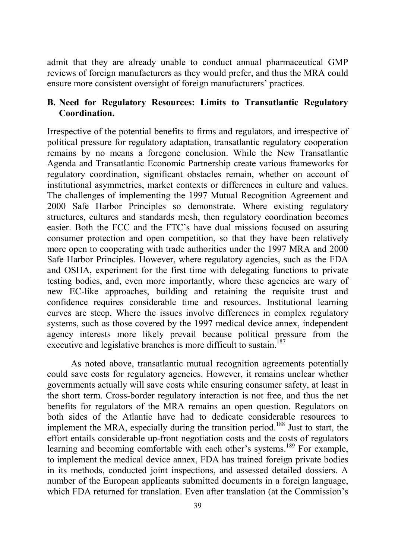admit that they are already unable to conduct annual pharmaceutical GMP reviews of foreign manufacturers as they would prefer, and thus the MRA could ensure more consistent oversight of foreign manufacturers' practices.

#### **B. Need for Regulatory Resources: Limits to Transatlantic Regulatory Coordination.**

Irrespective of the potential benefits to firms and regulators, and irrespective of political pressure for regulatory adaptation, transatlantic regulatory cooperation remains by no means a foregone conclusion. While the New Transatlantic Agenda and Transatlantic Economic Partnership create various frameworks for regulatory coordination, significant obstacles remain, whether on account of institutional asymmetries, market contexts or differences in culture and values. The challenges of implementing the 1997 Mutual Recognition Agreement and 2000 Safe Harbor Principles so demonstrate. Where existing regulatory structures, cultures and standards mesh, then regulatory coordination becomes easier. Both the FCC and the FTC's have dual missions focused on assuring consumer protection and open competition, so that they have been relatively more open to cooperating with trade authorities under the 1997 MRA and 2000 Safe Harbor Principles. However, where regulatory agencies, such as the FDA and OSHA, experiment for the first time with delegating functions to private testing bodies, and, even more importantly, where these agencies are wary of new EC-like approaches, building and retaining the requisite trust and confidence requires considerable time and resources. Institutional learning curves are steep. Where the issues involve differences in complex regulatory systems, such as those covered by the 1997 medical device annex, independent agency interests more likely prevail because political pressure from the executive and legislative branches is more difficult to sustain.<sup>187</sup>

As noted above, transatlantic mutual recognition agreements potentially could save costs for regulatory agencies. However, it remains unclear whether governments actually will save costs while ensuring consumer safety, at least in the short term. Cross-border regulatory interaction is not free, and thus the net benefits for regulators of the MRA remains an open question. Regulators on both sides of the Atlantic have had to dedicate considerable resources to implement the MRA, especially during the transition period.<sup>188</sup> Just to start, the effort entails considerable up-front negotiation costs and the costs of regulators learning and becoming comfortable with each other's systems.<sup>189</sup> For example, to implement the medical device annex, FDA has trained foreign private bodies in its methods, conducted joint inspections, and assessed detailed dossiers. A number of the European applicants submitted documents in a foreign language, which FDA returned for translation. Even after translation (at the Commission's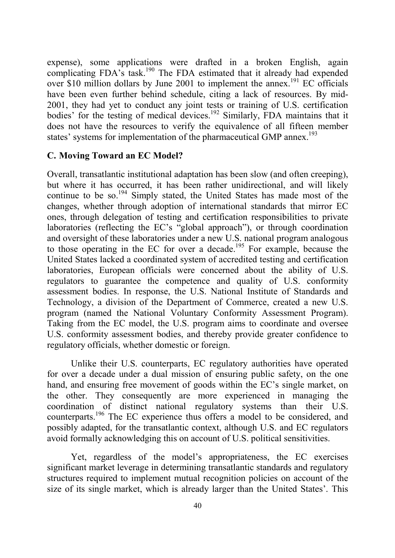expense), some applications were drafted in a broken English, again complicating FDA's task.<sup>190</sup> The FDA estimated that it already had expended over \$10 million dollars by June 2001 to implement the annex.<sup>191</sup> EC officials have been even further behind schedule, citing a lack of resources. By mid-2001, they had yet to conduct any joint tests or training of U.S. certification bodies' for the testing of medical devices.<sup>192</sup> Similarly, FDA maintains that it does not have the resources to verify the equivalence of all fifteen member states' systems for implementation of the pharmaceutical GMP annex.<sup>193</sup>

#### **C. Moving Toward an EC Model?**

Overall, transatlantic institutional adaptation has been slow (and often creeping), but where it has occurred, it has been rather unidirectional, and will likely continue to be so.<sup>194</sup> Simply stated, the United States has made most of the changes, whether through adoption of international standards that mirror EC ones, through delegation of testing and certification responsibilities to private laboratories (reflecting the EC's "global approach"), or through coordination and oversight of these laboratories under a new U.S. national program analogous to those operating in the EC for over a decade.<sup>195</sup> For example, because the United States lacked a coordinated system of accredited testing and certification laboratories, European officials were concerned about the ability of U.S. regulators to guarantee the competence and quality of U.S. conformity assessment bodies. In response, the U.S. National Institute of Standards and Technology, a division of the Department of Commerce, created a new U.S. program (named the National Voluntary Conformity Assessment Program). Taking from the EC model, the U.S. program aims to coordinate and oversee U.S. conformity assessment bodies, and thereby provide greater confidence to regulatory officials, whether domestic or foreign.

Unlike their U.S. counterparts, EC regulatory authorities have operated for over a decade under a dual mission of ensuring public safety, on the one hand, and ensuring free movement of goods within the EC's single market, on the other. They consequently are more experienced in managing the coordination of distinct national regulatory systems than their U.S. counterparts.196 The EC experience thus offers a model to be considered, and possibly adapted, for the transatlantic context, although U.S. and EC regulators avoid formally acknowledging this on account of U.S. political sensitivities.

Yet, regardless of the model's appropriateness, the EC exercises significant market leverage in determining transatlantic standards and regulatory structures required to implement mutual recognition policies on account of the size of its single market, which is already larger than the United States'. This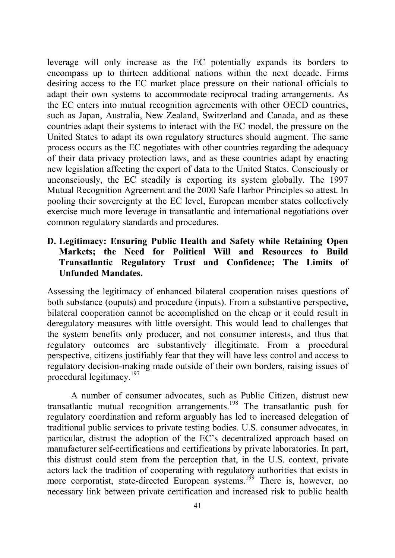leverage will only increase as the EC potentially expands its borders to encompass up to thirteen additional nations within the next decade. Firms desiring access to the EC market place pressure on their national officials to adapt their own systems to accommodate reciprocal trading arrangements. As the EC enters into mutual recognition agreements with other OECD countries, such as Japan, Australia, New Zealand, Switzerland and Canada, and as these countries adapt their systems to interact with the EC model, the pressure on the United States to adapt its own regulatory structures should augment. The same process occurs as the EC negotiates with other countries regarding the adequacy of their data privacy protection laws, and as these countries adapt by enacting new legislation affecting the export of data to the United States. Consciously or unconsciously, the EC steadily is exporting its system globally. The 1997 Mutual Recognition Agreement and the 2000 Safe Harbor Principles so attest. In pooling their sovereignty at the EC level, European member states collectively exercise much more leverage in transatlantic and international negotiations over common regulatory standards and procedures.

## **D. Legitimacy: Ensuring Public Health and Safety while Retaining Open Markets; the Need for Political Will and Resources to Build Transatlantic Regulatory Trust and Confidence; The Limits of Unfunded Mandates.**

Assessing the legitimacy of enhanced bilateral cooperation raises questions of both substance (ouputs) and procedure (inputs). From a substantive perspective, bilateral cooperation cannot be accomplished on the cheap or it could result in deregulatory measures with little oversight. This would lead to challenges that the system benefits only producer, and not consumer interests, and thus that regulatory outcomes are substantively illegitimate. From a procedural perspective, citizens justifiably fear that they will have less control and access to regulatory decision-making made outside of their own borders, raising issues of procedural legitimacy.<sup>197</sup>

A number of consumer advocates, such as Public Citizen, distrust new transatlantic mutual recognition arrangements.198 The transatlantic push for regulatory coordination and reform arguably has led to increased delegation of traditional public services to private testing bodies. U.S. consumer advocates, in particular, distrust the adoption of the EC's decentralized approach based on manufacturer self-certifications and certifications by private laboratories. In part, this distrust could stem from the perception that, in the U.S. context, private actors lack the tradition of cooperating with regulatory authorities that exists in more corporatist, state-directed European systems.<sup>199</sup> There is, however, no necessary link between private certification and increased risk to public health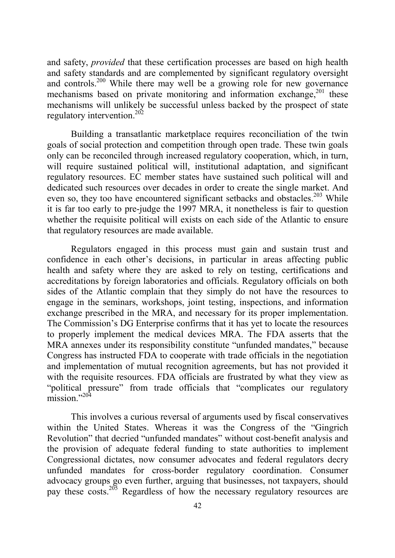and safety, *provided* that these certification processes are based on high health and safety standards and are complemented by significant regulatory oversight and controls.<sup>200</sup> While there may well be a growing role for new governance mechanisms based on private monitoring and information exchange, $201$  these mechanisms will unlikely be successful unless backed by the prospect of state regulatory intervention.<sup>202</sup>

Building a transatlantic marketplace requires reconciliation of the twin goals of social protection and competition through open trade. These twin goals only can be reconciled through increased regulatory cooperation, which, in turn, will require sustained political will, institutional adaptation, and significant regulatory resources. EC member states have sustained such political will and dedicated such resources over decades in order to create the single market. And even so, they too have encountered significant setbacks and obstacles.<sup>203</sup> While it is far too early to pre-judge the 1997 MRA, it nonetheless is fair to question whether the requisite political will exists on each side of the Atlantic to ensure that regulatory resources are made available.

Regulators engaged in this process must gain and sustain trust and confidence in each other's decisions, in particular in areas affecting public health and safety where they are asked to rely on testing, certifications and accreditations by foreign laboratories and officials. Regulatory officials on both sides of the Atlantic complain that they simply do not have the resources to engage in the seminars, workshops, joint testing, inspections, and information exchange prescribed in the MRA, and necessary for its proper implementation. The Commission's DG Enterprise confirms that it has yet to locate the resources to properly implement the medical devices MRA. The FDA asserts that the MRA annexes under its responsibility constitute "unfunded mandates," because Congress has instructed FDA to cooperate with trade officials in the negotiation and implementation of mutual recognition agreements, but has not provided it with the requisite resources. FDA officials are frustrated by what they view as "political pressure" from trade officials that "complicates our regulatory  $mission$ <sup>"204</sup>

This involves a curious reversal of arguments used by fiscal conservatives within the United States. Whereas it was the Congress of the "Gingrich Revolution" that decried "unfunded mandates" without cost-benefit analysis and the provision of adequate federal funding to state authorities to implement Congressional dictates, now consumer advocates and federal regulators decry unfunded mandates for cross-border regulatory coordination. Consumer advocacy groups go even further, arguing that businesses, not taxpayers, should pay these costs.<sup>205</sup> Regardless of how the necessary regulatory resources are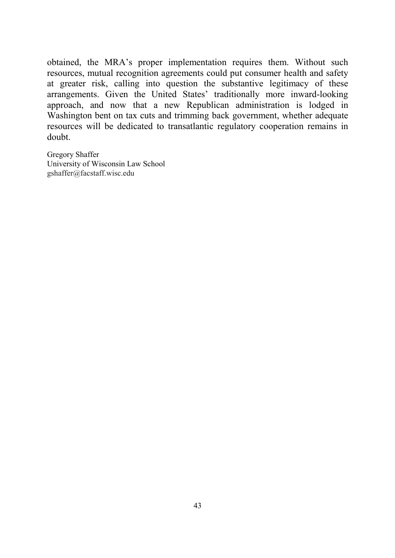obtained, the MRA's proper implementation requires them. Without such resources, mutual recognition agreements could put consumer health and safety at greater risk, calling into question the substantive legitimacy of these arrangements. Given the United States' traditionally more inward-looking approach, and now that a new Republican administration is lodged in Washington bent on tax cuts and trimming back government, whether adequate resources will be dedicated to transatlantic regulatory cooperation remains in doubt.

Gregory Shaffer University of Wisconsin Law School gshaffer@facstaff.wisc.edu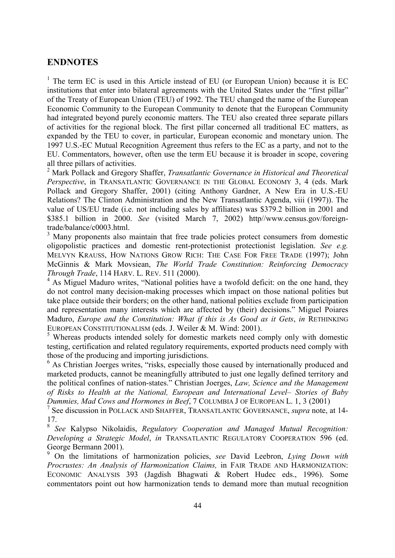#### **ENDNOTES**

<sup>1</sup> The term EC is used in this Article instead of EU (or European Union) because it is EC institutions that enter into bilateral agreements with the United States under the "first pillar" of the Treaty of European Union (TEU) of 1992. The TEU changed the name of the European Economic Community to the European Community to denote that the European Community had integrated beyond purely economic matters. The TEU also created three separate pillars of activities for the regional block. The first pillar concerned all traditional EC matters, as expanded by the TEU to cover, in particular, European economic and monetary union. The 1997 U.S.-EC Mutual Recognition Agreement thus refers to the EC as a party, and not to the EU. Commentators, however, often use the term EU because it is broader in scope, covering all three pillars of activities.

2 Mark Pollack and Gregory Shaffer, *Transatlantic Governance in Historical and Theoretical Perspective*, in TRANSATLANTIC GOVERNANCE IN THE GLOBAL ECONOMY 3, 4 (eds. Mark Pollack and Gregory Shaffer, 2001) (citing Anthony Gardner, A New Era in U.S.-EU Relations? The Clinton Administration and the New Transatlantic Agenda, viii (1997)). The value of US/EU trade (i.e. not including sales by affiliates) was \$379.2 billion in 2001 and \$385.1 billion in 2000. *See* (visited March 7, 2002) http//www.census.gov/foreigntrade/balance/c0003.html.

<sup>3</sup> Many proponents also maintain that free trade policies protect consumers from domestic oligopolistic practices and domestic rent-protectionist protectionist legislation. *See e.g.* MELVYN KRAUSS, HOW NATIONS GROW RICH: THE CASE FOR FREE TRADE (1997); John McGinnis & Mark Movsiean, *The World Trade Constitution: Reinforcing Democracy Through Trade*, 114 HARV. L. REV. 511 (2000).

<sup>4</sup> As Miguel Maduro writes, "National polities have a twofold deficit: on the one hand, they do not control many decision-making processes which impact on those national polities but take place outside their borders; on the other hand, national polities exclude from participation and representation many interests which are affected by (their) decisions." Miguel Poiares Maduro, *Europe and the Constitution: What if this is As Good as it Gets*, *in* RETHINKING EUROPEAN CONSTITUTIONALISM (eds. J. Weiler & M. Wind: 2001).

<sup>5</sup> Whereas products intended solely for domestic markets need comply only with domestic testing, certification and related regulatory requirements, exported products need comply with those of the producing and importing jurisdictions.

<sup>6</sup> As Christian Joerges writes, "risks, especially those caused by internationally produced and marketed products, cannot be meaningfully attributed to just one legally defined territory and the political confines of nation-states." Christian Joerges, *Law, Science and the Management of Risks to Health at the National, European and International Level– Stories of Baby Dummies, Mad Cows and Hormones in Beef*, 7 COLUMBIA J OF EUROPEAN L. 1, 3 (2001)

7 See discussion in POLLACK AND SHAFFER, TRANSATLANTIC GOVERNANCE, *supra* note, at 14- 17.

<sup>8</sup> *See* Kalypso Nikolaidis, *Regulatory Cooperation and Managed Mutual Recognition: Developing a Strategic Model*, *in* TRANSATLANTIC REGULATORY COOPERATION 596 (ed. George Bermann 2001).

9 On the limitations of harmonization policies, *see* David Leebron, *Lying Down with Procrustes: An Analysis of Harmonization Claims,* in FAIR TRADE AND HARMONIZATION: ECONOMIC ANALYSIS 393 (Jagdish Bhagwati & Robert Hudec eds., 1996). Some commentators point out how harmonization tends to demand more than mutual recognition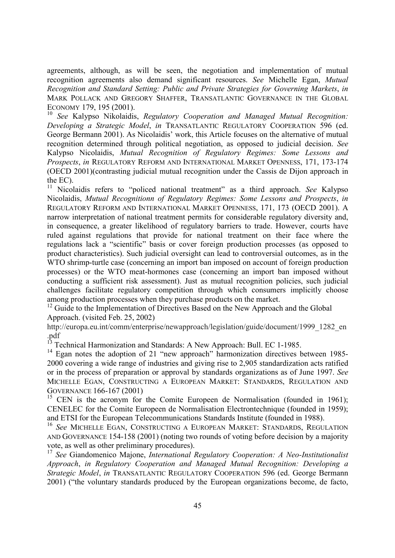agreements, although, as will be seen, the negotiation and implementation of mutual recognition agreements also demand significant resources. *See* Michelle Egan, *Mutual Recognition and Standard Setting: Public and Private Strategies for Governing Markets*, *in* MARK POLLACK AND GREGORY SHAFFER, TRANSATLANTIC GOVERNANCE IN THE GLOBAL ECONOMY 179, 195 (2001).

<sup>10</sup> *See* Kalypso Nikolaidis, *Regulatory Cooperation and Managed Mutual Recognition: Developing a Strategic Model*, *in* TRANSATLANTIC REGULATORY COOPERATION 596 (ed. George Bermann 2001). As Nicolaidis' work, this Article focuses on the alternative of mutual recognition determined through political negotiation, as opposed to judicial decision. *See* Kalypso Nicolaidis, *Mutual Recognition of Regulatory Regimes: Some Lessons and Prospects*, *in* REGULATORY REFORM AND INTERNATIONAL MARKET OPENNESS, 171, 173-174 (OECD 2001)(contrasting judicial mutual recognition under the Cassis de Dijon approach in the EC).<br> $\frac{11 \text{ Nicol}}{2}$ 

11 Nicolaidis refers to "policed national treatment" as a third approach. *See* Kalypso Nicolaidis, *Mutual Recognitionn of Regulatory Regimes: Some Lessons and Prospects*, *in* REGULATORY REFORM AND INTERNATIONAL MARKET OPENNESS, 171, 173 (OECD 2001). A narrow interpretation of national treatment permits for considerable regulatory diversity and, in consequence, a greater likelihood of regulatory barriers to trade. However, courts have ruled against regulations that provide for national treatment on their face where the regulations lack a "scientific" basis or cover foreign production processes (as opposed to product characteristics). Such judicial oversight can lead to controversial outcomes, as in the WTO shrimp-turtle case (concerning an import ban imposed on account of foreign production processes) or the WTO meat-hormones case (concerning an import ban imposed without conducting a sufficient risk assessment). Just as mutual recognition policies, such judicial challenges facilitate regulatory competition through which consumers implicitly choose among production processes when they purchase products on the market.

<sup>12</sup> Guide to the Implementation of Directives Based on the New Approach and the Global Approach. (visited Feb. 25, 2002)

http://europa.eu.int/comm/enterprise/newapproach/legislation/guide/document/1999\_1282\_en .pdf

<sup>13</sup> Technical Harmonization and Standards: A New Approach: Bull. EC 1-1985.

<sup>14</sup> Egan notes the adoption of 21 "new approach" harmonization directives between 1985-2000 covering a wide range of industries and giving rise to 2,905 standardization acts ratified or in the process of preparation or approval by standards organizations as of June 1997. *See* MICHELLE EGAN, CONSTRUCTING A EUROPEAN MARKET: STANDARDS, REGULATION AND GOVERNANCE 166-167 (2001)

<sup>15</sup> CEN is the acronym for the Comite Europeen de Normalisation (founded in 1961); CENELEC for the Comite Europeen de Normalisation Electrontechnique (founded in 1959); and ETSI for the European Telecommunications Standards Institute (founded in 1988).

<sup>16</sup> *See* MICHELLE EGAN, CONSTRUCTING A EUROPEAN MARKET: STANDARDS, REGULATION AND GOVERNANCE 154-158 (2001) (noting two rounds of voting before decision by a majority vote, as well as other preliminary procedures).

<sup>17</sup> *See* Giandomenico Majone, *International Regulatory Cooperation: A Neo-Institutionalist Approach*, *in Regulatory Cooperation and Managed Mutual Recognition: Developing a Strategic Model*, *in* TRANSATLANTIC REGULATORY COOPERATION 596 (ed. George Bermann 2001) ("the voluntary standards produced by the European organizations become, de facto,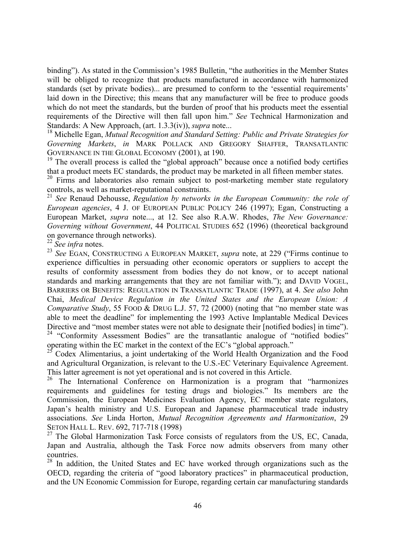binding"). As stated in the Commission's 1985 Bulletin, "the authorities in the Member States will be obliged to recognize that products manufactured in accordance with harmonized standards (set by private bodies)... are presumed to conform to the 'essential requirements' laid down in the Directive; this means that any manufacturer will be free to produce goods which do not meet the standards, but the burden of proof that his products meet the essential requirements of the Directive will then fall upon him." *See* Technical Harmonization and Standards: A New Approach, (art. 1.3.3(iv)), *supra* note...

18 Michelle Egan, *Mutual Recognition and Standard Setting: Public and Private Strategies for Governing Markets*, *in* MARK POLLACK AND GREGORY SHAFFER, TRANSATLANTIC GOVERNANCE IN THE GLOBAL ECONOMY (2001), at 190.

<sup>19</sup> The overall process is called the "global approach" because once a notified body certifies that a product meets EC standards, the product may be marketed in all fifteen member states.

 $20$  Firms and laboratories also remain subject to post-marketing member state regulatory controls, as well as market-reputational constraints.

<sup>21</sup> *See* Renaud Dehousse, *Regulation by networks in the European Community: the role of European agencies*, 4 J. OF EUROPEAN PUBLIC POLICY 246 (1997); Egan, Constructing a European Market, *supra* note..., at 12. See also R.A.W. Rhodes, *The New Governance: Governing without Government*, 44 POLITICAL STUDIES 652 (1996) (theoretical background on governance through networks).

<sup>22</sup> *See infra* notes.

<sup>23</sup> See EGAN, CONSTRUCTING A EUROPEAN MARKET, *supra* note, at 229 ("Firms continue to experience difficulties in persuading other economic operators or suppliers to accept the results of conformity assessment from bodies they do not know, or to accept national standards and marking arrangements that they are not familiar with."); and DAVID VOGEL, BARRIERS OR BENEFITS: REGULATION IN TRANSATLANTIC TRADE (1997), at 4. *See also* John Chai, *Medical Device Regulation in the United States and the European Union: A Comparative Study*, 55 FOOD & DRUG L.J. 57, 72 (2000) (noting that "no member state was able to meet the deadline" for implementing the 1993 Active Implantable Medical Devices Directive and "most member states were not able to designate their [notified bodies] in time"). <sup>24</sup> "Conformity Assessment Bodies" are the transatlantic analogue of "notified bodies" operating within the EC market in the context of the EC's "global approach."

25 Codex Alimentarius, a joint undertaking of the World Health Organization and the Food and Agricultural Organization, is relevant to the U.S.-EC Veterinary Equivalence Agreement. This latter agreement is not yet operational and is not covered in this Article.

<sup>26</sup> The International Conference on Harmonization is a program that "harmonizes requirements and guidelines for testing drugs and biologies." Its members are the Commission, the European Medicines Evaluation Agency, EC member state regulators, Japan's health ministry and U.S. European and Japanese pharmaceutical trade industry associations. *See* Linda Horton, *Mutual Recognition Agreements and Harmonization*, 29 SETON HALL L. REV. 692, 717-718 (1998)

<sup>27</sup> The Global Harmonization Task Force consists of regulators from the US, EC, Canada, Japan and Australia, although the Task Force now admits observers from many other countries.

<sup>28</sup> In addition, the United States and EC have worked through organizations such as the OECD, regarding the criteria of "good laboratory practices" in pharmaceutical production, and the UN Economic Commission for Europe, regarding certain car manufacturing standards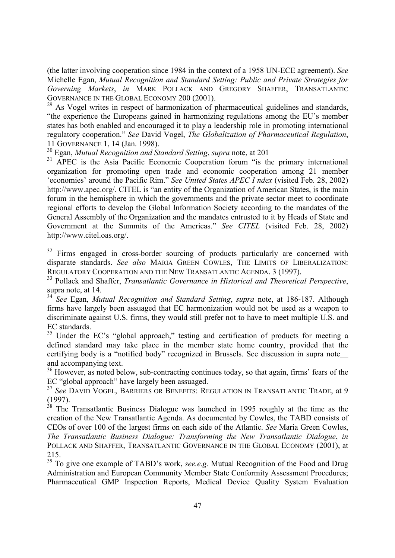(the latter involving cooperation since 1984 in the context of a 1958 UN-ECE agreement). *See* Michelle Egan, *Mutual Recognition and Standard Setting: Public and Private Strategies for Governing Markets*, *in* MARK POLLACK AND GREGORY SHAFFER, TRANSATLANTIC GOVERNANCE IN THE GLOBAL ECONOMY 200 (2001).

 $^{29}$  As Vogel writes in respect of harmonization of pharmaceutical guidelines and standards, "the experience the Europeans gained in harmonizing regulations among the EU's member states has both enabled and encouraged it to play a leadership role in promoting international regulatory cooperation." *See* David Vogel, *The Globalization of Pharmaceutical Regulation*, 11 GOVERNANCE 1, 14 (Jan. 1998).

30 Egan, *Mutual Recognition and Standard Setting*, *supra* note, at 201

<sup>31</sup> APEC is the Asia Pacific Economic Cooperation forum "is the primary international organization for promoting open trade and economic cooperation among 21 member 'economies' around the Pacific Rim." *See United States APEC I ndex* (visited Feb. 28, 2002) http://www.apec.org/. CITEL is "an entity of the Organization of American States, is the main forum in the hemisphere in which the governments and the private sector meet to coordinate regional efforts to develop the Global Information Society according to the mandates of the General Assembly of the Organization and the mandates entrusted to it by Heads of State and Government at the Summits of the Americas." *See CITEL* (visited Feb. 28, 2002) http://www.citel.oas.org/.

<sup>32</sup> Firms engaged in cross-border sourcing of products particularly are concerned with disparate standards. *See also* MARIA GREEN COWLES, THE LIMITS OF LIBERALIZATION: REGULATORY COOPERATION AND THE NEW TRANSATLANTIC AGENDA. 3 (1997).

33 Pollack and Shaffer, *Transatlantic Governance in Historical and Theoretical Perspective*, supra note, at 14.

<sup>34</sup> *See* Egan, *Mutual Recognition and Standard Setting*, *supra* note, at 186-187. Although firms have largely been assuaged that EC harmonization would not be used as a weapon to discriminate against U.S. firms, they would still prefer not to have to meet multiple U.S. and EC standards.

<sup>35</sup> Under the EC's "global approach," testing and certification of products for meeting a defined standard may take place in the member state home country, provided that the certifying body is a "notified body" recognized in Brussels. See discussion in supra note\_\_ and accompanying text.

<sup>36</sup> However, as noted below, sub-contracting continues today, so that again, firms' fears of the EC "global approach" have largely been assuaged.

<sup>37</sup> *See* DAVID VOGEL, BARRIERS OR BENEFITS: REGULATION IN TRANSATLANTIC TRADE, at 9 (1997).

 $38$  The Transatlantic Business Dialogue was launched in 1995 roughly at the time as the creation of the New Transatlantic Agenda. As documented by Cowles, the TABD consists of CEOs of over 100 of the largest firms on each side of the Atlantic. *See* Maria Green Cowles, *The Transatlantic Business Dialogue: Transforming the New Transatlantic Dialogue*, *in* POLLACK AND SHAFFER, TRANSATLANTIC GOVERNANCE IN THE GLOBAL ECONOMY (2001), at 215.

<sup>39</sup> To give one example of TABD's work, *see.e.g.* Mutual Recognition of the Food and Drug Administration and European Community Member State Conformity Assessment Procedures; Pharmaceutical GMP Inspection Reports, Medical Device Quality System Evaluation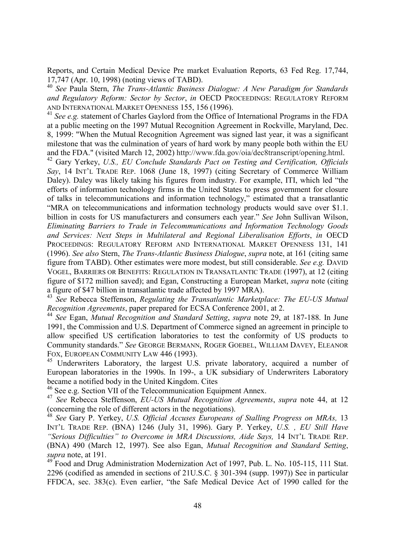Reports, and Certain Medical Device Pre market Evaluation Reports, 63 Fed Reg. 17,744, 17,747 (Apr. 10, 1998) (noting views of TABD).

<sup>40</sup> *See* Paula Stern, *The Trans-Atlantic Business Dialogue: A New Paradigm for Standards and Regulatory Reform: Sector by Sector*, *in* OECD PROCEEDINGS: REGULATORY REFORM AND INTERNATIONAL MARKET OPENNESS 155, 156 (1996).

<sup>41</sup> See e.g. statement of Charles Gaylord from the Office of International Programs in the FDA at a public meeting on the 1997 Mutual Recognition Agreement in Rockville, Maryland, Dec. 8, 1999: "When the Mutual Recognition Agreement was signed last year, it was a significant milestone that was the culmination of years of hard work by many people both within the EU and the FDA." (visited March 12, 2002) http://www.fda.gov/oia/dec8transcript/opening.html. 42 Gary Yerkey, *U.S., EU Conclude Standards Pact on Testing and Certification, Officials*

*Say*, 14 INT'L TRADE REP. 1068 (June 18, 1997) (citing Secretary of Commerce William Daley). Daley was likely taking his figures from industry. For example, ITI, which led "the efforts of information technology firms in the United States to press government for closure of talks in telecommunications and information technology," estimated that a transatlantic "MRA on telecommunications and information technology products would save over \$1.1. billion in costs for US manufacturers and consumers each year." *See* John Sullivan Wilson, *Eliminating Barriers to Trade in Telecommunications and Information Technology Goods and Services: Next Steps in Multilateral and Regional Liberalisation Efforts*, *in* OECD PROCEEDINGS: REGULATORY REFORM AND INTERNATIONAL MARKET OPENNESS 131, 141 (1996). *See also* Stern, *The Trans-Atlantic Business Dialogue*, *supra* note, at 161 (citing same figure from TABD). Other estimates were more modest, but still considerable. *See e.g.* DAVID VOGEL, BARRIERS OR BENEFITS: REGULATION IN TRANSATLANTIC TRADE (1997), at 12 (citing figure of \$172 million saved); and Egan, Constructing a European Market, *supra* note (citing a figure of \$47 billion in transatlantic trade affected by 1997 MRA).

<sup>43</sup> *See* Rebecca Steffenson, *Regulating the Transatlantic Marketplace: The EU-US Mutual Recognition Agreements*, paper prepared for ECSA Conference 2001, at 2.

<sup>44</sup> *See* Egan, *Mutual Recognition and Standard Setting*, *supra* note 29, at 187-188. In June 1991, the Commission and U.S. Department of Commerce signed an agreement in principle to allow specified US certification laboratories to test the conformity of US products to Community standards." *See* GEORGE BERMANN, ROGER GOEBEL, WILLIAM DAVEY, ELEANOR FOX, EUROPEAN COMMUNITY LAW 446 (1993).

<sup>45</sup> Underwriters Laboratory, the largest U.S. private laboratory, acquired a number of European laboratories in the 1990s. In 199-, a UK subsidiary of Underwriters Laboratory became a notified body in the United Kingdom. Cites

46 See e.g. Section VII of the Telecommunication Equipment Annex.

<sup>47</sup> *See* Rebecca Steffenson, *EU-US Mutual Recognition Agreements*, *supra* note 44, at 12 (concerning the role of different actors in the negotiations).

<sup>48</sup> *See* Gary P. Yerkey, *U.S. Official Accuses Europeans of Stalling Progress on MRAs,* 13 INT'L TRADE REP. (BNA) 1246 (July 31, 1996). Gary P. Yerkey, *U.S. , EU Still Have "Serious Difficulties" to Overcome in MRA Discussions, Aide Says,* 14 INT'L TRADE REP. (BNA) 490 (March 12, 1997). See also Egan, *Mutual Recognition and Standard Setting*, *supra* note, at 191.

<sup>49</sup> Food and Drug Administration Modernization Act of 1997, Pub. L. No. 105-115, 111 Stat. 2296 (codified as amended in sections of 21U.S.C. § 301-394 (supp. 1997)) See in particular FFDCA, sec. 383(c). Even earlier, "the Safe Medical Device Act of 1990 called for the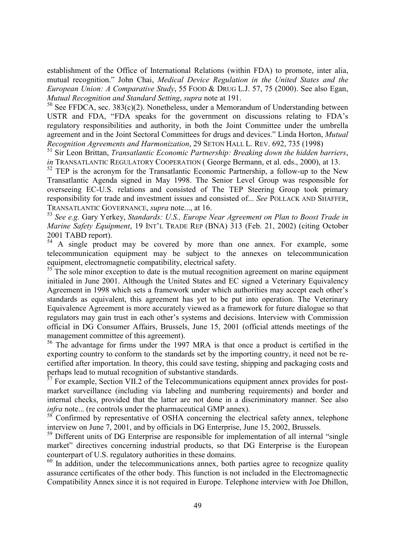establishment of the Office of International Relations (within FDA) to promote, inter alia, mutual recognition." John Chai, *Medical Device Regulation in the United States and the European Union: A Comparative Study*, 55 FOOD & DRUG L.J. 57, 75 (2000). See also Egan, *Mutual Recognition and Standard Setting*, *supra* note at 191.

 $50$  See FFDCA, sec. 383(c)(2). Nonetheless, under a Memorandum of Understanding between USTR and FDA, "FDA speaks for the government on discussions relating to FDA's regulatory responsibilities and authority, in both the Joint Committee under the umbrella agreement and in the Joint Sectoral Committees for drugs and devices." Linda Horton, *Mutual Recognition Agreements and Harmonization*, 29 SETON HALL L. REV. 692, 735 (1998)

51 Sir Leon Brittan, *Transatlantic Economic Partnership: Breaking down the hidden barriers*, *in* TRANSATLANTIC REGULATORY COOPERATION (George Bermann, et al. eds., 2000), at 13.

 $52$  TEP is the acronym for the Transatlantic Economic Partnership, a follow-up to the New Transatlantic Agenda signed in May 1998. The Senior Level Group was responsible for overseeing EC-U.S. relations and consisted of The TEP Steering Group took primary responsibility for trade and investment issues and consisted of... *See* POLLACK AND SHAFFER, TRANSATLANTIC GOVERNANCE, *supra* note..., at 16.

<sup>53</sup> *See e.g.* Gary Yerkey, *Standards: U.S., Europe Near Agreement on Plan to Boost Trade in Marine Safety Equipment*, 19 INT'L TRADE REP (BNA) 313 (Feb. 21, 2002) (citing October 2001 TABD report).

 $54$  A single product may be covered by more than one annex. For example, some telecommunication equipment may be subject to the annexes on telecommunication equipment, electromagnetic compatibility, electrical safety.

 $55$ <sup>The</sup> sole minor exception to date is the mutual recognition agreement on marine equipment initialed in June 2001. Although the United States and EC signed a Veterinary Equivalency Agreement in 1998 which sets a framework under which authorities may accept each other's standards as equivalent, this agreement has yet to be put into operation. The Veterinary Equivalence Agreement is more accurately viewed as a framework for future dialogue so that regulators may gain trust in each other's systems and decisions. Interview with Commission official in DG Consumer Affairs, Brussels, June 15, 2001 (official attends meetings of the management committee of this agreement).

<sup>56</sup> The advantage for firms under the 1997 MRA is that once a product is certified in the exporting country to conform to the standards set by the importing country, it need not be recertified after importation. In theory, this could save testing, shipping and packaging costs and perhaps lead to mutual recognition of substantive standards.<br><sup>57</sup> For example. Section VII.2 of the Talesayure

57 For example, Section VII.2 of the Telecommunications equipment annex provides for postmarket surveillance (including via labeling and numbering requirements) and border and internal checks, provided that the latter are not done in a discriminatory manner. See also *infra* note... (re controls under the pharmaceutical GMP annex).

<sup>58</sup> Confirmed by representative of OSHA concerning the electrical safety annex, telephone interview on June 7, 2001, and by officials in DG Enterprise, June 15, 2002, Brussels.

<sup>59</sup> Different units of DG Enterprise are responsible for implementation of all internal "single" market" directives concerning industrial products, so that DG Enterprise is the European counterpart of U.S. regulatory authorities in these domains.

<sup>60</sup> In addition, under the telecommunications annex, both parties agree to recognize quality assurance certificates of the other body. This function is not included in the Electromagnectic Compatibility Annex since it is not required in Europe. Telephone interview with Joe Dhillon,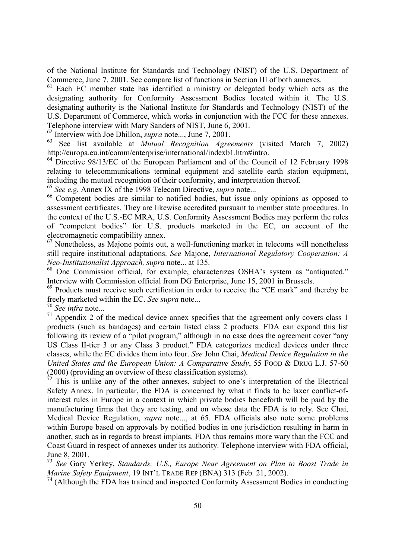of the National Institute for Standards and Technology (NIST) of the U.S. Department of Commerce, June 7, 2001. See compare list of functions in Section III of both annexes.

 $61$  Each EC member state has identified a ministry or delegated body which acts as the designating authority for Conformity Assessment Bodies located within it. The U.S. designating authority is the National Institute for Standards and Technology (NIST) of the U.S. Department of Commerce, which works in conjunction with the FCC for these annexes. Telephone interview with Mary Sanders of NIST, June 6, 2001.

62 Interview with Joe Dhillon, *supra* note..., June 7, 2001.

63 See list available at *Mutual Recognition Agreements* (visited March 7, 2002) http://europa.eu.int/comm/enterprise/international/indexb1.htm#intro.

<sup>64</sup> Directive 98/13/EC of the European Parliament and of the Council of 12 February 1998 relating to telecommunications terminal equipment and satellite earth station equipment, including the mutual recognition of their conformity, and interpretation thereof.

<sup>65</sup> *See e.g.* Annex IX of the 1998 Telecom Directive, *supra* note...

66 Competent bodies are similar to notified bodies, but issue only opinions as opposed to assessment certificates. They are likewise accredited pursuant to member state procedures. In the context of the U.S.-EC MRA, U.S. Conformity Assessment Bodies may perform the roles of "competent bodies" for U.S. products marketed in the EC, on account of the electromagnetic compatibility annex.

 $67$  Nonetheless, as Majone points out, a well-functioning market in telecoms will nonetheless still require institutional adaptations. *See* Majone, *International Regulatory Cooperation: A Neo-Institutionalist Approach, supra* note... at 135.

<sup>68</sup> One Commission official, for example, characterizes OSHA's system as "antiquated." Interview with Commission official from DG Enterprise, June 15, 2001 in Brussels.

<sup>69</sup> Products must receive such certification in order to receive the "CE mark" and thereby be freely marketed within the EC. *See supra* note...

<sup>70</sup> *See infra* note...

 $71$  Appendix 2 of the medical device annex specifies that the agreement only covers class 1 products (such as bandages) and certain listed class 2 products. FDA can expand this list following its review of a "pilot program," although in no case does the agreement cover "any US Class II-tier 3 or any Class 3 product." FDA categorizes medical devices under three classes, while the EC divides them into four. *See* John Chai, *Medical Device Regulation in the United States and the European Union: A Comparative Study*, 55 FOOD & DRUG L.J. 57-60 (2000) (providing an overview of these classification systems).

 $72$  This is unlike any of the other annexes, subject to one's interpretation of the Electrical Safety Annex. In particular, the FDA is concerned by what it finds to be laxer conflict-ofinterest rules in Europe in a context in which private bodies henceforth will be paid by the manufacturing firms that they are testing, and on whose data the FDA is to rely. See Chai, Medical Device Regulation, *supra* note..., at 65. FDA officials also note some problems within Europe based on approvals by notified bodies in one jurisdiction resulting in harm in another, such as in regards to breast implants. FDA thus remains more wary than the FCC and Coast Guard in respect of annexes under its authority. Telephone interview with FDA official, June 8, 2001.

<sup>73</sup> *See* Gary Yerkey, *Standards: U.S., Europe Near Agreement on Plan to Boost Trade in Marine Safety Equipment*, 19 INT'L TRADE REP (BNA) 313 (Feb. 21, 2002).

 $74$  (Although the FDA has trained and inspected Conformity Assessment Bodies in conducting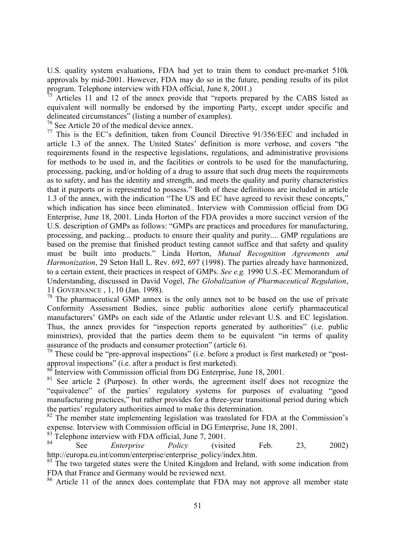U.S. quality system evaluations, FDA had yet to train them to conduct pre-market 510k approvals by mid-2001. However, FDA may do so in the future, pending results of its pilot program. Telephone interview with FDA official, June 8, 2001.)

 $75$  Articles 11 and 12 of the annex provide that "reports prepared by the CABS listed as equivalent will normally be endorsed by the importing Party, except under specific and delineated circumstances" (listing a number of examples).

76 See Article 20 of the medical device annex.

 $77$  This is the EC's definition, taken from Council Directive 91/356/EEC and included in article 1.3 of the annex. The United States' definition is more verbose, and covers "the requirements found in the respective legislations, regulations, and administrative provisions for methods to be used in, and the facilities or controls to be used for the manufacturing, processing, packing, and/or holding of a drug to assure that such drug meets the requirements as to safety, and has the identity and strength, and meets the quality and purity characteristics that it purports or is represented to possess." Both of these definitions are included in article 1.3 of the annex, with the indication "The US and EC have agreed to revisit these concepts," which indication has since been eliminated.. Interview with Commission official from DG Enterprise, June 18, 2001. Linda Horton of the FDA provides a more succinct version of the U.S. description of GMPs as follows: "GMPs are practices and procedures for manufacturing, processing, and packing... products to ensure their quality and purity.... GMP regulations are based on the premise that finished product testing cannot suffice and that safety and quality must be built into products." Linda Horton, *Mutual Recognition Agreements and Harmonization*, 29 Seton Hall L. Rev. 692, 697 (1998). The parties already have harmonized, to a certain extent, their practices in respect of GMPs. *See e.g.* 1990 U.S.-EC Memorandum of Understanding, discussed in David Vogel, *The Globalization of Pharmaceutical Regulation*, 11 GOVERNANCE , 1, 10 (Jan. 1998).

 $78$  The pharmaceutical GMP annex is the only annex not to be based on the use of private Conformity Assessment Bodies, since public authorities alone certify pharmaceutical manufacturers' GMPs on each side of the Atlantic under relevant U.S. and EC legislation. Thus, the annex provides for "inspection reports generated by authorities" (i.e. public ministries), provided that the parties deem them to be equivalent "in terms of quality assurance of the products and consumer protection" (article 6).

 $79$  These could be "pre-approval inspections" (i.e. before a product is first marketed) or "postapproval inspections" (i.e. after a product is first marketed).

Interview with Commission official from DG Enterprise, June 18, 2001.

<sup>81</sup> See article 2 (Purpose). In other words, the agreement itself does not recognize the "equivalence" of the parties' regulatory systems for purposes of evaluating "good manufacturing practices," but rather provides for a three-year transitional period during which the parties' regulatory authorities aimed to make this determination.

<sup>82</sup> The member state implementing legislation was translated for FDA at the Commission's expense. Interview with Commission official in DG Enterprise, June 18, 2001.

 $83$  Telephone interview with FDA official, June 7, 2001.

84 See *Enterprise Policy* (visited Feb. 23, 2002) http://europa.eu.int/comm/enterprise/enterprise\_policy/index.htm.

<sup>85</sup> The two targeted states were the United Kingdom and Ireland, with some indication from FDA that France and Germany would be reviewed next.

<sup>86</sup> Article 11 of the annex does contemplate that FDA may not approve all member state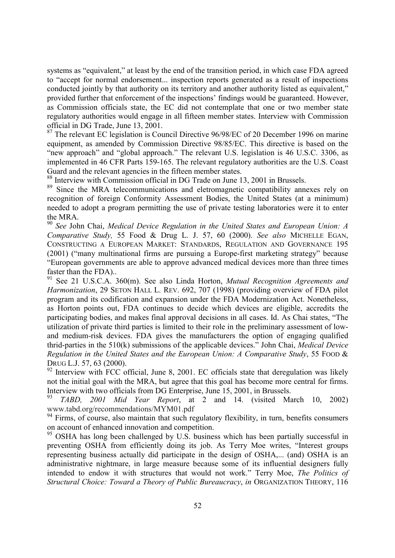systems as "equivalent," at least by the end of the transition period, in which case FDA agreed to "accept for normal endorsement... inspection reports generated as a result of inspections conducted jointly by that authority on its territory and another authority listed as equivalent," provided further that enforcement of the inspections' findings would be guaranteed. However, as Commission officials state, the EC did not contemplate that one or two member state regulatory authorities would engage in all fifteen member states. Interview with Commission official in DG Trade, June 13, 2001.

 $87$  The relevant EC legislation is Council Directive 96/98/EC of 20 December 1996 on marine equipment, as amended by Commission Directive 98/85/EC. This directive is based on the "new approach" and "global approach." The relevant U.S. legislation is 46 U.S.C. 3306, as implemented in 46 CFR Parts 159-165. The relevant regulatory authorities are the U.S. Coast Guard and the relevant agencies in the fifteen member states.

88 Interview with Commission official in DG Trade on June 13, 2001 in Brussels.

<sup>89</sup> Since the MRA telecommunications and eletromagnetic compatibility annexes rely on recognition of foreign Conformity Assessment Bodies, the United States (at a minimum) needed to adopt a program permitting the use of private testing laboratories were it to enter the MRA.

<sup>90</sup> *See* John Chai, *Medical Device Regulation in the United States and European Union: A Comparative Study,* 55 Food & Drug L. J. 57, 60 (2000). *See also* MICHELLE EGAN, CONSTRUCTING A EUROPEAN MARKET: STANDARDS, REGULATION AND GOVERNANCE 195 (2001) ("many multinational firms are pursuing a Europe-first marketing strategy" because "European governments are able to approve advanced medical devices more than three times faster than the FDA)..

<sup>91</sup> See 21 U.S.C.A. 360(m). See also Linda Horton, *Mutual Recognition Agreements and Harmonization*, 29 SETON HALL L. REV. 692, 707 (1998) (providing overview of FDA pilot program and its codification and expansion under the FDA Modernization Act. Nonetheless, as Horton points out, FDA continues to decide which devices are eligible, accredits the participating bodies, and makes final approval decisions in all cases. Id. As Chai states, "The utilization of private third parties is limited to their role in the preliminary assessment of lowand medium-risk devices. FDA gives the manufacturers the option of engaging qualified thrid-parties in the 510(k) submissions of the applicable devices." John Chai, *Medical Device Regulation in the United States and the European Union: A Comparative Study*, 55 FOOD & DRUG L.J. 57, 63 (2000).

 $92$  Interview with FCC official, June 8, 2001. EC officials state that deregulation was likely not the initial goal with the MRA, but agree that this goal has become more central for firms. Interview with two officials from DG Enterprise, June 15, 2001, in Brussels.<br><sup>93</sup> TABD 2001, Mid. Year, Brussels. 2001, and 14. (visited Me.

<sup>93</sup> *TABD, 2001 Mid Year Report*, at 2 and 14. (visited March 10, 2002) www.tabd.org/recommendations/MYM01.pdf

 $94$  Firms, of course, also maintain that such regulatory flexibility, in turn, benefits consumers on account of enhanced innovation and competition.

<sup>95</sup> OSHA has long been challenged by U.S. business which has been partially successful in preventing OSHA from efficiently doing its job. As Terry Moe writes, "Interest groups representing business actually did participate in the design of OSHA,... (and) OSHA is an administrative nightmare, in large measure because some of its influential designers fully intended to endow it with structures that would not work." Terry Moe, *The Politics of Structural Choice: Toward a Theory of Public Bureaucracy*, *in* ORGANIZATION THEORY, 116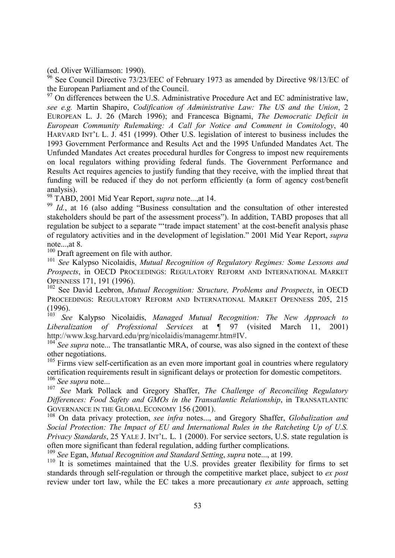(ed. Oliver Williamson: 1990).

 $96$  See Council Directive 73/23/EEC of February 1973 as amended by Directive 98/13/EC of the European Parliament and of the Council.

 $97$  On differences between the U.S. Administrative Procedure Act and EC administrative law, *see e.g.* Martin Shapiro, *Codification of Administrative Law: The US and the Union*, 2 EUROPEAN L. J. 26 (March 1996); and Francesca Bignami, *The Democratic Deficit in European Community Rulemaking: A Call for Notice and Comment in Comitology*, 40 HARVARD INT'L L. J. 451 (1999). Other U.S. legislation of interest to business includes the 1993 Government Performance and Results Act and the 1995 Unfunded Mandates Act. The Unfunded Mandates Act creates procedural hurdles for Congress to impost new requirements on local regulators withing providing federal funds. The Government Performance and Results Act requires agencies to justify funding that they receive, with the implied threat that funding will be reduced if they do not perform efficiently (a form of agency cost/benefit analysis).

98 TABD, 2001 Mid Year Report, *supra* note...,at 14.

<sup>99</sup> Id., at 16 (also adding "Business consultation and the consultation of other interested stakeholders should be part of the assessment process"). In addition, TABD proposes that all regulation be subject to a separate "'trade impact statement' at the cost-benefit analysis phase of regulatory activities and in the development of legislation." 2001 Mid Year Report, *supra* note<sub>ur</sub>at 8.

<sup>100</sup> Draft agreement on file with author.

<sup>101</sup> *See* Kalypso Nicolaidis, *Mutual Recognition of Regulatory Regimes: Some Lessons and Prospects*, in OECD PROCEEDINGS: REGULATORY REFORM AND INTERNATIONAL MARKET OPENNESS 171, 191 (1996).

102 See David Leebron, *Mutual Recognition: Structure, Problems and Prospects*, in OECD PROCEEDINGS: REGULATORY REFORM AND INTERNATIONAL MARKET OPENNESS 205, 215 (1996).

<sup>103</sup> *See* Kalypso Nicolaidis, *Managed Mutual Recognition: The New Approach to Liberalization of Professional Services* at ¶ 97 (visited March 11, 2001) http://www.ksg.harvard.edu/prg/nicolaidis/managemr.htm#IV.<br><sup>104</sup> See supra note... The transatlantic MRA, of course, was also signed in the context of these

other negotiations.

<sup>105</sup> Firms view self-certification as an even more important goal in countries where regulatory certification requirements result in significant delays or protection for domestic competitors. <sup>106</sup> *See supra* note...

<sup>107</sup> *See* Mark Pollack and Gregory Shaffer, *The Challenge of Reconciling Regulatory Differences: Food Safety and GMOs in the Transatlantic Relationship*, in TRANSATLANTIC GOVERNANCE IN THE GLOBAL ECONOMY 156 (2001).

108 On data privacy protection, *see infra* notes..., and Gregory Shaffer, *Globalization and Social Protection: The Impact of EU and International Rules in the Ratcheting Up of U.S. Privacy Standards*, 25 YALE J. INT'L. L. 1 (2000). For service sectors, U.S. state regulation is often more significant than federal regulation, adding further complications.

<sup>109</sup> *See* Egan, *Mutual Recognition and Standard Setting*, *supra* note..., at 199.

<sup>110</sup> It is sometimes maintained that the U.S. provides greater flexibility for firms to set standards through self-regulation or through the competitive market place, subject to *ex post* review under tort law, while the EC takes a more precautionary *ex ante* approach, setting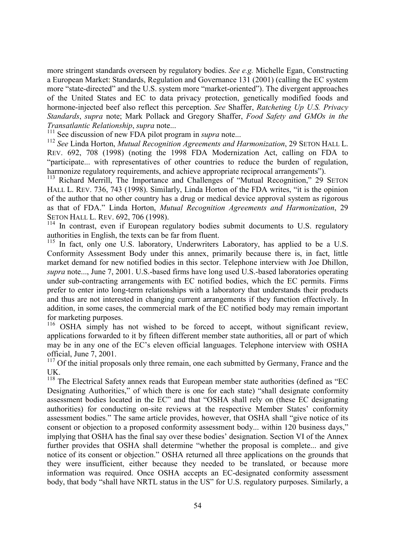more stringent standards overseen by regulatory bodies. *See e.g.* Michelle Egan, Constructing a European Market: Standards, Regulation and Governance 131 (2001) (calling the EC system more "state-directed" and the U.S. system more "market-oriented"). The divergent approaches of the United States and EC to data privacy protection, genetically modified foods and hormone-injected beef also reflect this perception. *See* Shaffer, *Ratcheting Up U.S. Privacy Standards*, *supra* note; Mark Pollack and Gregory Shaffer, *Food Safety and GMOs in the Transatlantic Relationship*, *supra* note...

<sup>111</sup> See discussion of new FDA pilot program in *supra* note...

<sup>112</sup> *See* Linda Horton, *Mutual Recognition Agreements and Harmonization*, 29 SETON HALL L. REV. 692, 708 (1998) (noting the 1998 FDA Modernization Act, calling on FDA to "participate... with representatives of other countries to reduce the burden of regulation, harmonize regulatory requirements, and achieve appropriate reciprocal arrangements").

<sup>113</sup> Richard Merrill, The Importance and Challenges of "Mutual Recognition," 29 SETON HALL L. REV. 736, 743 (1998). Similarly, Linda Horton of the FDA writes, "it is the opinion of the author that no other country has a drug or medical device approval system as rigorous as that of FDA." Linda Horton, *Mutual Recognition Agreements and Harmonization*, 29 SETON HALL L. REV. 692, 706 (1998).

<sup>114</sup> In contrast, even if European regulatory bodies submit documents to U.S. regulatory authorities in English, the texts can be far from fluent.

<sup>115</sup> In fact, only one U.S. laboratory, Underwriters Laboratory, has applied to be a U.S. Conformity Assessment Body under this annex, primarily because there is, in fact, little market demand for new notified bodies in this sector. Telephone interview with Joe Dhillon, *supra* note..., June 7, 2001. U.S.-based firms have long used U.S.-based laboratories operating under sub-contracting arrangements with EC notified bodies, which the EC permits. Firms prefer to enter into long-term relationships with a laboratory that understands their products and thus are not interested in changing current arrangements if they function effectively. In addition, in some cases, the commercial mark of the EC notified body may remain important for marketing purposes.

<sup>116</sup> OSHA simply has not wished to be forced to accept, without significant review, applications forwarded to it by fifteen different member state authorities, all or part of which may be in any one of the EC's eleven official languages. Telephone interview with OSHA official, June 7, 2001.

<sup>117</sup> Of the initial proposals only three remain, one each submitted by Germany, France and the UK.

<sup>118</sup> The Electrical Safety annex reads that European member state authorities (defined as "EC Designating Authorities," of which there is one for each state) "shall designate conformity assessment bodies located in the EC" and that "OSHA shall rely on (these EC designating authorities) for conducting on-site reviews at the respective Member States' conformity assessment bodies." The same article provides, however, that OSHA shall "give notice of its consent or objection to a proposed conformity assessment body... within 120 business days," implying that OSHA has the final say over these bodies' designation. Section VI of the Annex further provides that OSHA shall determine "whether the proposal is complete... and give notice of its consent or objection." OSHA returned all three applications on the grounds that they were insufficient, either because they needed to be translated, or because more information was required. Once OSHA accepts an EC-designated conformity assessment body, that body "shall have NRTL status in the US" for U.S. regulatory purposes. Similarly, a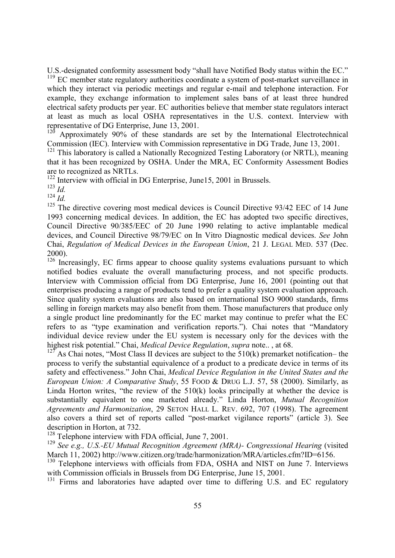U.S.-designated conformity assessment body "shall have Notified Body status within the EC." <sup>119</sup> EC member state regulatory authorities coordinate a system of post-market surveillance in which they interact via periodic meetings and regular e-mail and telephone interaction. For example, they exchange information to implement sales bans of at least three hundred electrical safety products per year. EC authorities believe that member state regulators interact at least as much as local OSHA representatives in the U.S. context. Interview with representative of DG Enterprise, June 13, 2001.

Approximately 90% of these standards are set by the International Electrotechnical Commission (IEC). Interview with Commission representative in DG Trade, June 13, 2001.

 $121$  This laboratory is called a Nationally Recognized Testing Laboratory (or NRTL), meaning that it has been recognized by OSHA. Under the MRA, EC Conformity Assessment Bodies are to recognized as NRTLs.

<sup>122</sup> Interview with official in DG Enterprise, June15, 2001 in Brussels.

<sup>123</sup> *Id.*

<sup>124</sup> *Id.*

<sup>125</sup> The directive covering most medical devices is Council Directive 93/42 EEC of 14 June 1993 concerning medical devices. In addition, the EC has adopted two specific directives, Council Directive 90/385/EEC of 20 June 1990 relating to active implantable medical devices, and Council Directive 98/79/EC on In Vitro Diagnostic medical devices. *See* John Chai, *Regulation of Medical Devices in the European Union*, 21 J. LEGAL MED. 537 (Dec.  $^{2000}_{126}$ .

Increasingly, EC firms appear to choose quality systems evaluations pursuant to which notified bodies evaluate the overall manufacturing process, and not specific products. Interview with Commission official from DG Enterprise, June 16, 2001 (pointing out that enterprises producing a range of products tend to prefer a quality system evaluation approach. Since quality system evaluations are also based on international ISO 9000 standards, firms selling in foreign markets may also benefit from them. Those manufacturers that produce only a single product line predominantly for the EC market may continue to prefer what the EC refers to as "type examination and verification reports."). Chai notes that "Mandatory individual device review under the EU system is necessary only for the devices with the highest risk potential." Chai, *Medical Device Regulation*, *supra* note.. , at 68.

 $127$  As Chai notes, "Most Class II devices are subject to the 510(k) premarket notification– the process to verify the substantial equivalence of a product to a predicate device in terms of its safety and effectiveness." John Chai, *Medical Device Regulation in the United States and the European Union: A Comparative Study*, 55 FOOD & DRUG L.J. 57, 58 (2000). Similarly, as Linda Horton writes, "the review of the  $510(k)$  looks principally at whether the device is substantially equivalent to one marketed already." Linda Horton, *Mutual Recognition Agreements and Harmonization*, 29 SETON HALL L. REV. 692, 707 (1998). The agreement also covers a third set of reports called "post-market vigilance reports" (article 3). See description in Horton, at 732.

 $128$  Telephone interview with FDA official, June 7, 2001.

<sup>129</sup> See e.g., U.S.-EU Mutual Recognition Agreement (MRA)- Congressional Hearing (visited March 11, 2002) http://www.citizen.org/trade/harmonization/MRA/articles.cfm?ID=6156.

<sup>130</sup> Telephone interviews with officials from FDA, OSHA and NIST on June 7. Interviews with Commission officials in Brussels from DG Enterprise, June 15, 2001.

<sup>131</sup> Firms and laboratories have adapted over time to differing U.S. and EC regulatory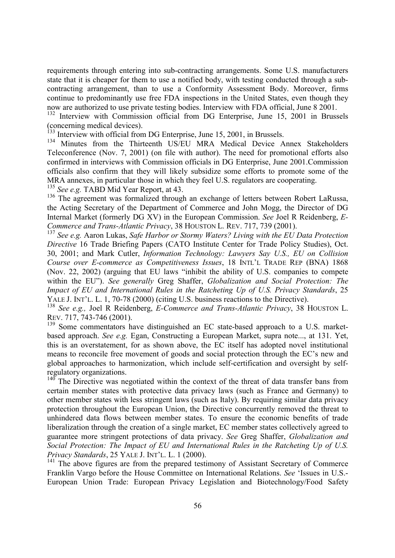requirements through entering into sub-contracting arrangements. Some U.S. manufacturers state that it is cheaper for them to use a notified body, with testing conducted through a subcontracting arrangement, than to use a Conformity Assessment Body. Moreover, firms continue to predominantly use free FDA inspections in the United States, even though they now are authorized to use private testing bodies. Interview with FDA official, June 8 2001.

<sup>132</sup> Interview with Commission official from DG Enterprise, June 15, 2001 in Brussels (concerning medical devices).

Interview with official from DG Enterprise, June 15, 2001, in Brussels.

<sup>134</sup> Minutes from the Thirteenth US/EU MRA Medical Device Annex Stakeholders Teleconference (Nov. 7, 2001) (on file with author). The need for promotional efforts also confirmed in interviews with Commission officials in DG Enterprise, June 2001.Commission officials also confirm that they will likely subsidize some efforts to promote some of the MRA annexes, in particular those in which they feel U.S. regulators are cooperating.

<sup>135</sup> See e.g. TABD Mid Year Report, at 43.

<sup>136</sup> The agreement was formalized through an exchange of letters between Robert LaRussa, the Acting Secretary of the Department of Commerce and John Mogg, the Director of DG Internal Market (formerly DG XV) in the European Commission. *See* Joel R Reidenberg, *E-Commerce and Trans-Atlantic Privacy*, 38 HOUSTON L. REV. 717, 739 (2001).

<sup>137</sup> *See e.g.* Aaron Lukas, *Safe Harbor or Stormy Waters? Living with the EU Data Protection Directive* 16 Trade Briefing Papers (CATO Institute Center for Trade Policy Studies), Oct. 30, 2001; and Mark Cutler, *Information Technology: Lawyers Say U.S., EU on Collision Course over E-commerce as Competitiveness Issues*, 18 INTL'L TRADE REP (BNA) 1868 (Nov. 22, 2002) (arguing that EU laws "inhibit the ability of U.S. companies to compete within the EU"). *See generally* Greg Shaffer, *Globalization and Social Protection: The Impact of EU and International Rules in the Ratcheting Up of U.S. Privacy Standards*, 25 YALE J. INT'L. L. 1, 70-78 (2000) (citing U.S. business reactions to the Directive).

<sup>138</sup> *See e.g.,* Joel R Reidenberg, *E-Commerce and Trans-Atlantic Privacy*, 38 HOUSTON L. REV. 717, 743-746 (2001).

<sup>139</sup> Some commentators have distinguished an EC state-based approach to a U.S. marketbased approach. *See e.g.* Egan, Constructing a European Market, supra note..., at 131. Yet, this is an overstatement, for as shown above, the EC itself has adopted novel institutional means to reconcile free movement of goods and social protection through the EC's new and global approaches to harmonization, which include self-certification and oversight by selfregulatory organizations.

 $140$  The Directive was negotiated within the context of the threat of data transfer bans from certain member states with protective data privacy laws (such as France and Germany) to other member states with less stringent laws (such as Italy). By requiring similar data privacy protection throughout the European Union, the Directive concurrently removed the threat to unhindered data flows between member states. To ensure the economic benefits of trade liberalization through the creation of a single market, EC member states collectively agreed to guarantee more stringent protections of data privacy. *See* Greg Shaffer, *Globalization and Social Protection: The Impact of EU and International Rules in the Ratcheting Up of U.S. Privacy Standards*, 25 YALE J. INT'L. L. 1 (2000).

<sup>141</sup> The above figures are from the prepared testimony of Assistant Secretary of Commerce Franklin Vargo before the House Committee on International Relations. *See* 'Issues in U.S.- European Union Trade: European Privacy Legislation and Biotechnology/Food Safety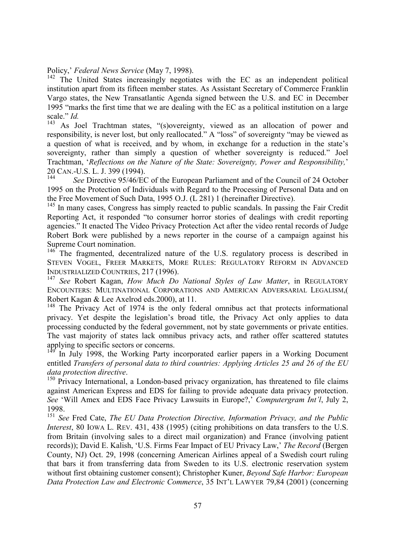Policy,' *Federal News Service* (May 7, 1998).

<sup>142</sup> The United States increasingly negotiates with the EC as an independent political institution apart from its fifteen member states. As Assistant Secretary of Commerce Franklin Vargo states, the New Transatlantic Agenda signed between the U.S. and EC in December 1995 "marks the first time that we are dealing with the EC as a political institution on a large scale." *Id.*

<sup>143</sup> As Joel Trachtman states, "(s)overeignty, viewed as an allocation of power and responsibility, is never lost, but only reallocated." A "loss" of sovereignty "may be viewed as a question of what is received, and by whom, in exchange for a reduction in the state's sovereignty, rather than simply a question of whether sovereignty is reduced." Joel Trachtman, '*Reflections on the Nature of the State: Sovereignty, Power and Responsibility,*' 20 CAN.-U.S. L. J. 399 (1994).

See Directive 95/46/EC of the European Parliament and of the Council of 24 October 1995 on the Protection of Individuals with Regard to the Processing of Personal Data and on the Free Movement of Such Data, 1995 O.J. (L 281) 1 (hereinafter Directive).

 $145$  In many cases. Congress has simply reacted to public scandals. In passing the Fair Credit Reporting Act, it responded "to consumer horror stories of dealings with credit reporting agencies." It enacted The Video Privacy Protection Act after the video rental records of Judge Robert Bork were published by a news reporter in the course of a campaign against his Supreme Court nomination.

 $146<sup>146</sup>$  The fragmented, decentralized nature of the U.S. regulatory process is described in STEVEN VOGEL, FREER MARKETS, MORE RULES: REGULATORY REFORM IN ADVANCED INDUSTRIALIZED COUNTRIES, 217 (1996).

<sup>147</sup> *See* Robert Kagan, *How Much Do National Styles of Law Matter*, in REGULATORY ENCOUNTERS: MULTINATIONAL CORPORATIONS AND AMERICAN ADVERSARIAL LEGALISM,( Robert Kagan & Lee Axelrod eds.2000), at 11.

<sup>148</sup> The Privacy Act of 1974 is the only federal omnibus act that protects informational privacy. Yet despite the legislation's broad title, the Privacy Act only applies to data processing conducted by the federal government, not by state governments or private entities. The vast majority of states lack omnibus privacy acts, and rather offer scattered statutes applying to specific sectors or concerns.

In July 1998, the Working Party incorporated earlier papers in a Working Document entitled *Transfers of personal data to third countries: Applying Articles 25 and 26 of the EU data protection directive.*<br><sup>150</sup> Privacy International, a London-based privacy organization, has threatened to file claims

against American Express and EDS for failing to provide adequate data privacy protection. *See* 'Will Amex and EDS Face Privacy Lawsuits in Europe?,' *Computergram Int'l*, July 2, 1998.

<sup>151</sup> *See* Fred Cate, *The EU Data Protection Directive, Information Privacy, and the Public Interest*, 80 IOWA L. REV. 431, 438 (1995) (citing prohibitions on data transfers to the U.S. from Britain (involving sales to a direct mail organization) and France (involving patient records)); David E. Kalish, 'U.S. Firms Fear Impact of EU Privacy Law,' *The Record* (Bergen County, NJ) Oct. 29, 1998 (concerning American Airlines appeal of a Swedish court ruling that bars it from transferring data from Sweden to its U.S. electronic reservation system without first obtaining customer consent); Christopher Kuner, *Beyond Safe Harbor: European Data Protection Law and Electronic Commerce*, 35 INT'L LAWYER 79,84 (2001) (concerning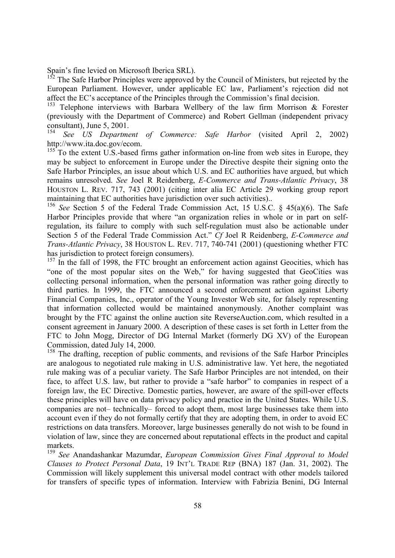Spain's fine levied on Microsoft Iberica SRL).<br><sup>152</sup> The Safe Harbor Principles was assumed.

The Safe Harbor Principles were approved by the Council of Ministers, but rejected by the European Parliament. However, under applicable EC law, Parliament's rejection did not affect the EC's acceptance of the Principles through the Commission's final decision.

<sup>153</sup> Telephone interviews with Barbara Wellbery of the law firm Morrison  $\&$  Forester (previously with the Department of Commerce) and Robert Gellman (independent privacy consultant), June 5, 2001.

<sup>154</sup> *See US Department of Commerce: Safe Harbor* (visited April 2, 2002) http://www.ita.doc.gov/ecom.

 $155$  To the extent U.S.-based firms gather information on-line from web sites in Europe, they may be subject to enforcement in Europe under the Directive despite their signing onto the Safe Harbor Principles, an issue about which U.S. and EC authorities have argued, but which remains unresolved. *See* Joel R Reidenberg, *E-Commerce and Trans-Atlantic Privacy*, 38 HOUSTON L. REV. 717, 743 (2001) (citing inter alia EC Article 29 working group report maintaining that EC authorities have jurisdiction over such activities)..

<sup>156</sup> *See* Section 5 of the Federal Trade Commission Act, 15 U.S.C. § 45(a)(6). The Safe Harbor Principles provide that where "an organization relies in whole or in part on selfregulation, its failure to comply with such self-regulation must also be actionable under Section 5 of the Federal Trade Commission Act." *Cf* Joel R Reidenberg, *E-Commerce and Trans-Atlantic Privacy*, 38 HOUSTON L. REV. 717, 740-741 (2001) (questioning whether FTC has jurisdiction to protect foreign consumers).

 $157$  In the fall of 1998, the FTC brought an enforcement action against Geocities, which has "one of the most popular sites on the Web," for having suggested that GeoCities was collecting personal information, when the personal information was rather going directly to third parties. In 1999, the FTC announced a second enforcement action against Liberty Financial Companies, Inc., operator of the Young Investor Web site, for falsely representing that information collected would be maintained anonymously. Another complaint was brought by the FTC against the online auction site ReverseAuction.com, which resulted in a consent agreement in January 2000. A description of these cases is set forth in Letter from the FTC to John Mogg, Director of DG Internal Market (formerly DG XV) of the European Commission, dated July 14, 2000.

<sup>158</sup> The drafting, reception of public comments, and revisions of the Safe Harbor Principles are analogous to negotiated rule making in U.S. administrative law. Yet here, the negotiated rule making was of a peculiar variety. The Safe Harbor Principles are not intended, on their face, to affect U.S. law, but rather to provide a "safe harbor" to companies in respect of a foreign law, the EC Directive. Domestic parties, however, are aware of the spill-over effects these principles will have on data privacy policy and practice in the United States. While U.S. companies are not– technically– forced to adopt them, most large businesses take them into account even if they do not formally certify that they are adopting them, in order to avoid EC restrictions on data transfers. Moreover, large businesses generally do not wish to be found in violation of law, since they are concerned about reputational effects in the product and capital markets.

<sup>159</sup> *See* Anandashankar Mazumdar, *European Commission Gives Final Approval to Model Clauses to Protect Personal Data*, 19 INT'L TRADE REP (BNA) 187 (Jan. 31, 2002). The Commission will likely supplement this universal model contract with other models tailored for transfers of specific types of information. Interview with Fabrizia Benini, DG Internal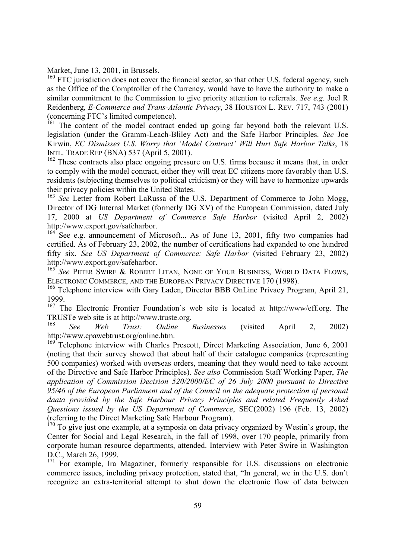Market, June 13, 2001, in Brussels.

<sup>160</sup> FTC jurisdiction does not cover the financial sector, so that other U.S. federal agency, such as the Office of the Comptroller of the Currency, would have to have the authority to make a similar commitment to the Commission to give priority attention to referrals. *See e.g.* Joel R Reidenberg, *E-Commerce and Trans-Atlantic Privacy*, 38 HOUSTON L. REV. 717, 743 (2001) (concerning FTC's limited competence).

<sup>161</sup> The content of the model contract ended up going far beyond both the relevant U.S. legislation (under the Gramm-Leach-Bliley Act) and the Safe Harbor Principles. *See* Joe Kirwin, *EC Dismisses U.S. Worry that 'Model Contract' Will Hurt Safe Harbor Talks*, 18 INTL. TRADE REP (BNA) 537 (April 5, 2001).

<sup>162</sup> These contracts also place ongoing pressure on U.S. firms because it means that, in order to comply with the model contract, either they will treat EC citizens more favorably than U.S. residents (subjecting themselves to political criticism) or they will have to harmonize upwards their privacy policies within the United States.

<sup>163</sup> *See* Letter from Robert LaRussa of the U.S. Department of Commerce to John Mogg, Director of DG Internal Market (formerly DG XV) of the European Commission, dated July 17, 2000 at *US Department of Commerce Safe Harbor* (visited April 2, 2002)

http://www.export.gov/safeharbor.<br><sup>164</sup> See e.g. announcement of Microsoft... As of June 13, 2001, fifty two companies had certified. As of February 23, 2002, the number of certifications had expanded to one hundred fifty six. *See US Department of Commerce: Safe Harbor* (visited February 23, 2002)

http://www.export.gov/safeharbor. <sup>165</sup> *See* PETER SWIRE & ROBERT LITAN, NONE OF YOUR BUSINESS, WORLD DATA FLOWS, ELECTRONIC COMMERCE, AND THE EUROPEAN PRIVACY DIRECTIVE 170 (1998).

<sup>166</sup> Telephone interview with Gary Laden, Director BBB OnLine Privacy Program, April 21, 1999.

<sup>167</sup> The Electronic Frontier Foundation's web site is located at http://www/eff.org. The TRUSTe web site is at http://www.truste.org. <sup>168</sup> *See Web Trust: Online Businesses* (visited April 2, 2002)

http://www.cpawebtrust.org/online.htm.

<sup>169</sup> Telephone interview with Charles Prescott, Direct Marketing Association, June 6, 2001 (noting that their survey showed that about half of their catalogue companies (representing 500 companies) worked with overseas orders, meaning that they would need to take account of the Directive and Safe Harbor Principles). *See also* Commission Staff Working Paper, *The application of Commission Decision 520/2000/EC of 26 July 2000 pursuant to Directive 95/46 of the European Parliament and of the Council on the adequate protection of personal daata provided by the Safe Harbour Privacy Principles and related Frequently Asked Questions issued by the US Department of Commerce*, SEC(2002) 196 (Feb. 13, 2002) (referring to the Direct Marketing Safe Harbour Program).

<sup>170</sup> To give just one example, at a symposia on data privacy organized by Westin's group, the Center for Social and Legal Research, in the fall of 1998, over 170 people, primarily from corporate human resource departments, attended. Interview with Peter Swire in Washington D.C., March 26, 1999.

<sup>171</sup> For example, Ira Magaziner, formerly responsible for U.S. discussions on electronic commerce issues, including privacy protection, stated that, "In general, we in the U.S. don't recognize an extra-territorial attempt to shut down the electronic flow of data between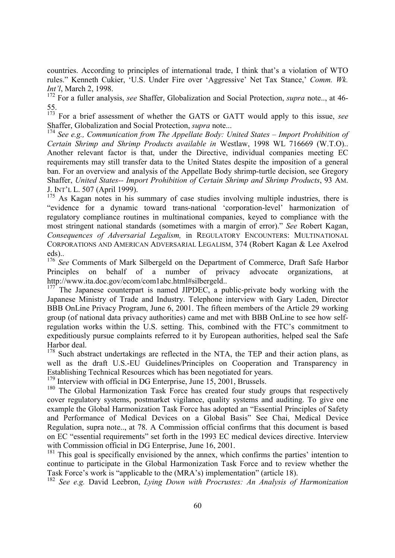countries. According to principles of international trade, I think that's a violation of WTO rules." Kenneth Cukier, 'U.S. Under Fire over 'Aggressive' Net Tax Stance,' *Comm. Wk. Int'l*, March 2, 1998.

172 For a fuller analysis, *see* Shaffer, Globalization and Social Protection, *supra* note.., at 46- 55.

173 For a brief assessment of whether the GATS or GATT would apply to this issue, *see* Shaffer, Globalization and Social Protection, *supra* note...

<sup>174</sup> *See e.g., Communication from The Appellate Body: United States – Import Prohibition of Certain Shrimp and Shrimp Products available in* Westlaw, 1998 WL 716669 (W.T.O).. Another relevant factor is that, under the Directive, individual companies meeting EC requirements may still transfer data to the United States despite the imposition of a general ban. For an overview and analysis of the Appellate Body shrimp-turtle decision, see Gregory Shaffer, *United States-- Import Prohibition of Certain Shrimp and Shrimp Products*, 93 AM. J. INT'L L. 507 (April 1999).

<sup>175</sup> As Kagan notes in his summary of case studies involving multiple industries, there is "evidence for a dynamic toward trans-national 'corporation-level' harmonization of regulatory compliance routines in multinational companies, keyed to compliance with the most stringent national standards (sometimes with a margin of error)." *See* Robert Kagan, *Consequences of Adversarial Legalism,* in REGULATORY ENCOUNTERS: MULTINATIONAL CORPORATIONS AND AMERICAN ADVERSARIAL LEGALISM, 374 (Robert Kagan & Lee Axelrod eds)..

<sup>176</sup> See Comments of Mark Silbergeld on the Department of Commerce, Draft Safe Harbor Principles on behalf of a number of privacy advocate organizations, at http://www.ita.doc.gov/ecom/com1abc.html#silbergeld..

<sup>177</sup> The Japanese counterpart is named JIPDEC, a public-private body working with the Japanese Ministry of Trade and Industry. Telephone interview with Gary Laden, Director BBB OnLine Privacy Program, June 6, 2001. The fifteen members of the Article 29 working group (of national data privacy authorities) came and met with BBB OnLine to see how selfregulation works within the U.S. setting. This, combined with the FTC's commitment to expeditiously pursue complaints referred to it by European authorities, helped seal the Safe Harbor deal.

<sup>178</sup> Such abstract undertakings are reflected in the NTA, the TEP and their action plans, as well as the draft U.S.-EU Guidelines/Principles on Cooperation and Transparency in Establishing Technical Resources which has been negotiated for years.

<sup>179</sup> Interview with official in DG Enterprise, June 15, 2001, Brussels.

<sup>180</sup> The Global Harmonization Task Force has created four study groups that respectively cover regulatory systems, postmarket vigilance, quality systems and auditing. To give one example the Global Harmonization Task Force has adopted an "Essential Principles of Safety and Performance of Medical Devices on a Global Basis" See Chai, Medical Device Regulation, supra note.., at 78. A Commission official confirms that this document is based on EC "essential requirements" set forth in the 1993 EC medical devices directive. Interview with Commission official in DG Enterprise, June 16, 2001.

 $181$  This goal is specifically envisioned by the annex, which confirms the parties' intention to continue to participate in the Global Harmonization Task Force and to review whether the Task Force's work is "applicable to the (MRA's) implementation" (article 18).

<sup>182</sup> *See e.g.* David Leebron, *Lying Down with Procrustes: An Analysis of Harmonization*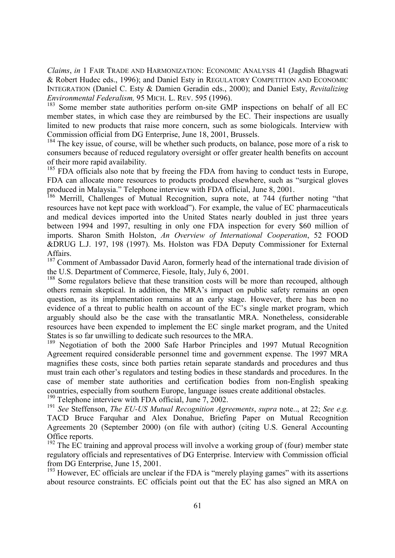*Claims*, *in* 1 FAIR TRADE AND HARMONIZATION: ECONOMIC ANALYSIS 41 (Jagdish Bhagwati & Robert Hudec eds., 1996); and Daniel Esty in REGULATORY COMPETITION AND ECONOMIC INTEGRATION (Daniel C. Esty & Damien Geradin eds., 2000); and Daniel Esty, *Revitalizing Environmental Federalism,* 95 MICH. L. REV. 595 (1996).

<sup>183</sup> Some member state authorities perform on-site GMP inspections on behalf of all EC member states, in which case they are reimbursed by the EC. Their inspections are usually limited to new products that raise more concern, such as some biologicals. Interview with Commission official from DG Enterprise, June 18, 2001, Brussels.

<sup>184</sup> The key issue, of course, will be whether such products, on balance, pose more of a risk to consumers because of reduced regulatory oversight or offer greater health benefits on account of their more rapid availability.

<sup>185</sup> FDA officials also note that by freeing the FDA from having to conduct tests in Europe, FDA can allocate more resources to products produced elsewhere, such as "surgical gloves produced in Malaysia." Telephone interview with FDA official, June 8, 2001.

<sup>186</sup> Merrill, Challenges of Mutual Recognition, supra note, at 744 (further noting "that resources have not kept pace with workload"). For example, the value of EC pharmaceuticals and medical devices imported into the United States nearly doubled in just three years between 1994 and 1997, resulting in only one FDA inspection for every \$60 million of imports. Sharon Smith Holston, *An Overview of International Cooperation*, 52 FOOD &DRUG L.J. 197, 198 (1997). Ms. Holston was FDA Deputy Commissioner for External **Affairs** 

<sup>187</sup> Comment of Ambassador David Aaron, formerly head of the international trade division of the U.S. Department of Commerce, Fiesole, Italy, July 6, 2001.

<sup>188</sup> Some regulators believe that these transition costs will be more than recouped, although others remain skeptical. In addition, the MRA's impact on public safety remains an open question, as its implementation remains at an early stage. However, there has been no evidence of a threat to public health on account of the EC's single market program, which arguably should also be the case with the transatlantic MRA. Nonetheless, considerable resources have been expended to implement the EC single market program, and the United States is so far unwilling to dedicate such resources to the MRA.

<sup>189</sup> Negotiation of both the 2000 Safe Harbor Principles and 1997 Mutual Recognition Agreement required considerable personnel time and government expense. The 1997 MRA magnifies these costs, since both parties retain separate standards and procedures and thus must train each other's regulators and testing bodies in these standards and procedures. In the case of member state authorities and certification bodies from non-English speaking countries, especially from southern Europe, language issues create additional obstacles.

 $190$  Telephone interview with FDA official, June 7, 2002.

<sup>191</sup> *See* Steffenson, *The EU-US Mutual Recognition Agreements*, *supra* note.., at 22; *See e.g.* TACD Bruce Farquhar and Alex Donahue, Briefing Paper on Mutual Recognition Agreements 20 (September 2000) (on file with author) (citing U.S. General Accounting Office reports.

 $192$  The EC training and approval process will involve a working group of (four) member state regulatory officials and representatives of DG Enterprise. Interview with Commission official from DG Enterprise, June 15, 2001.

 $193$  However, EC officials are unclear if the FDA is "merely playing games" with its assertions about resource constraints. EC officials point out that the EC has also signed an MRA on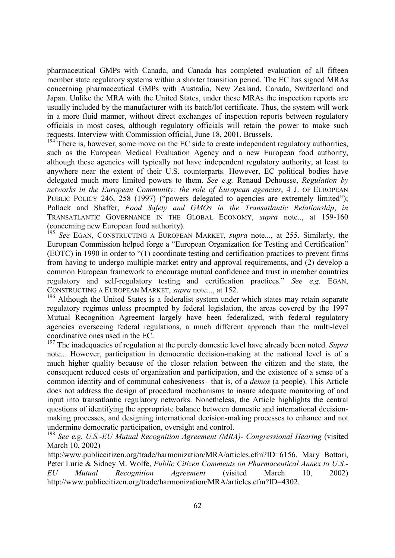pharmaceutical GMPs with Canada, and Canada has completed evaluation of all fifteen member state regulatory systems within a shorter transition period. The EC has signed MRAs concerning pharmaceutical GMPs with Australia, New Zealand, Canada, Switzerland and Japan. Unlike the MRA with the United States, under these MRAs the inspection reports are usually included by the manufacturer with its batch/lot certificate. Thus, the system will work in a more fluid manner, without direct exchanges of inspection reports between regulatory officials in most cases, although regulatory officials will retain the power to make such requests. Interview with Commission official, June 18, 2001, Brussels.

 $194$ <sup> $194$ </sup> There is, however, some move on the EC side to create independent regulatory authorities, such as the European Medical Evaluation Agency and a new European food authority, although these agencies will typically not have independent regulatory authority, at least to anywhere near the extent of their U.S. counterparts. However, EC political bodies have delegated much more limited powers to them. *See e.g.* Renaud Dehousse, *Regulation by networks in the European Community: the role of European agencies*, 4 J. OF EUROPEAN PUBLIC POLICY 246, 258 (1997) ("powers delegated to agencies are extremely limited"); Pollack and Shaffer, *Food Safety and GMOs in the Transatlantic Relationship*, *in* TRANSATLANTIC GOVERNANCE IN THE GLOBAL ECONOMY, *supra* note.., at 159-160 (concerning new European food authority).

See EGAN, CONSTRUCTING A EUROPEAN MARKET, *supra* note..., at 255. Similarly, the European Commission helped forge a "European Organization for Testing and Certification" (EOTC) in 1990 in order to "(1) coordinate testing and certification practices to prevent firms from having to undergo multiple market entry and approval requirements, and (2) develop a common European framework to encourage mutual confidence and trust in member countries regulatory and self-regulatory testing and certification practices." *See e.g.* EGAN, CONSTRUCTING A EUROPEAN MARKET, *supra* note..., at 152.

<sup>196</sup> Although the United States is a federalist system under which states may retain separate regulatory regimes unless preempted by federal legislation, the areas covered by the 1997 Mutual Recognition Agreement largely have been federalized, with federal regulatory agencies overseeing federal regulations, a much different approach than the multi-level coordinative ones used in the EC.

<sup>197</sup> The inadequacies of regulation at the purely domestic level have already been noted. *Supra* note... However, participation in democratic decision-making at the national level is of a much higher quality because of the closer relation between the citizen and the state, the consequent reduced costs of organization and participation, and the existence of a sense of a common identity and of communal cohesiveness– that is, of a *demos* (a people). This Article does not address the design of procedural mechanisms to insure adequate monitoring of and input into transatlantic regulatory networks. Nonetheless, the Article highlights the central questions of identifying the appropriate balance between domestic and international decisionmaking processes, and designing international decision-making processes to enhance and not undermine democratic participation, oversight and control.

<sup>198</sup> See e.g. U.S.-EU Mutual Recognition Agreement (MRA)- Congressional Hearing (visited March 10, 2002)

http:/www.publiccitizen.org/trade/harmonization/MRA/articles.cfm?ID=6156. Mary Bottari, Peter Lurie & Sidney M. Wolfe, *Public Citizen Comments on Pharmaceutical Annex to U.S.- EU Mutual Recognition Agreement* (visited March 10, 2002) http://www.publiccitizen.org/trade/harmonization/MRA/articles.cfm?ID=4302.